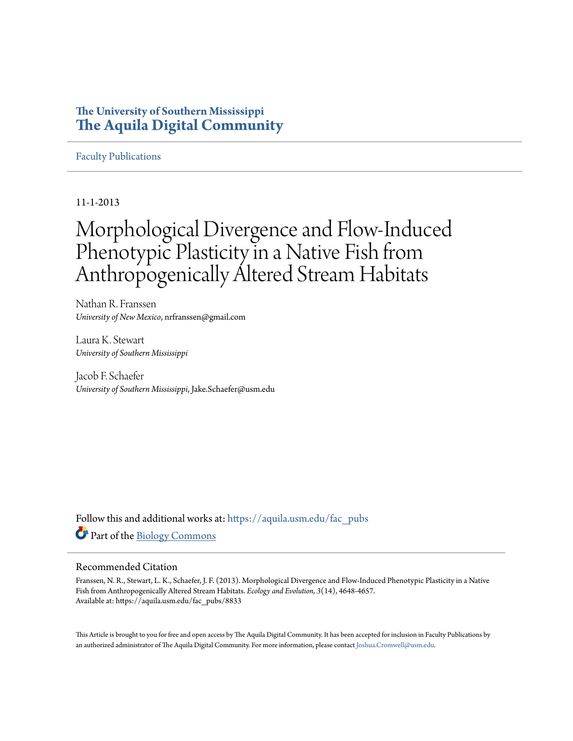# **The University of Southern Mississippi [The Aquila Digital Community](https://aquila.usm.edu?utm_source=aquila.usm.edu%2Ffac_pubs%2F8833&utm_medium=PDF&utm_campaign=PDFCoverPages)**

[Faculty Publications](https://aquila.usm.edu/fac_pubs?utm_source=aquila.usm.edu%2Ffac_pubs%2F8833&utm_medium=PDF&utm_campaign=PDFCoverPages)

11-1-2013

# Morphological Divergence and Flow-Induced Phenotypic Plasticity in a Native Fish from Anthropogenically Altered Stream Habitats

Nathan R. Franssen *University of New Mexico*, nrfranssen@gmail.com

Laura K. Stewart *University of Southern Mississippi*

Jacob F. Schaefer *University of Southern Mississippi*, Jake.Schaefer@usm.edu

Follow this and additional works at: [https://aquila.usm.edu/fac\\_pubs](https://aquila.usm.edu/fac_pubs?utm_source=aquila.usm.edu%2Ffac_pubs%2F8833&utm_medium=PDF&utm_campaign=PDFCoverPages) Part of the [Biology Commons](http://network.bepress.com/hgg/discipline/41?utm_source=aquila.usm.edu%2Ffac_pubs%2F8833&utm_medium=PDF&utm_campaign=PDFCoverPages)

## Recommended Citation

Franssen, N. R., Stewart, L. K., Schaefer, J. F. (2013). Morphological Divergence and Flow-Induced Phenotypic Plasticity in a Native Fish from Anthropogenically Altered Stream Habitats. *Ecology and Evolution, 3*(14), 4648-4657. Available at: https://aquila.usm.edu/fac\_pubs/8833

This Article is brought to you for free and open access by The Aquila Digital Community. It has been accepted for inclusion in Faculty Publications by an authorized administrator of The Aquila Digital Community. For more information, please contact [Joshua.Cromwell@usm.edu](mailto:Joshua.Cromwell@usm.edu).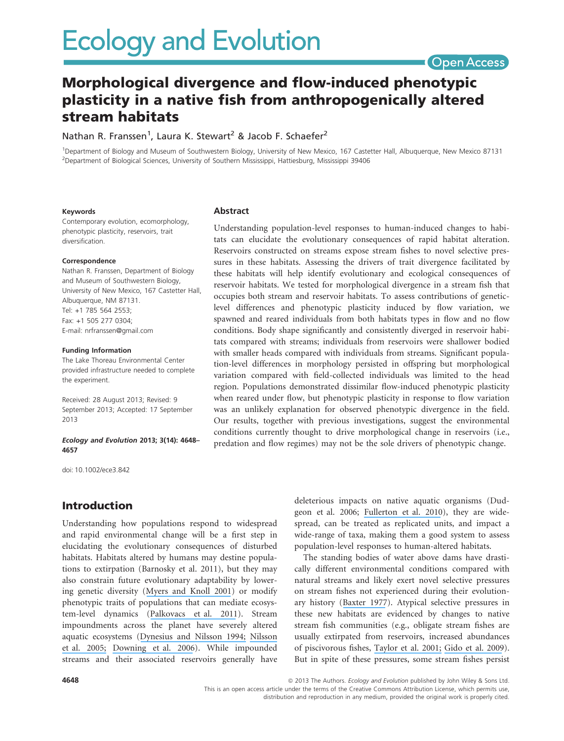# **Open Access**

# Morphological divergence and flow-induced phenotypic plasticity in a native fish from anthropogenically altered stream habitats

# Nathan R. Franssen<sup>1</sup>, Laura K. Stewart<sup>2</sup> & Jacob F. Schaefer<sup>2</sup>

1 Department of Biology and Museum of Southwestern Biology, University of New Mexico, 167 Castetter Hall, Albuquerque, New Mexico 87131 2 Department of Biological Sciences, University of Southern Mississippi, Hattiesburg, Mississippi 39406

#### Keywords

Contemporary evolution, ecomorphology, phenotypic plasticity, reservoirs, trait diversification.

#### Correspondence

Nathan R. Franssen, Department of Biology and Museum of Southwestern Biology, University of New Mexico, 167 Castetter Hall, Albuquerque, NM 87131. Tel: +1 785 564 2553; Fax: +1 505 277 0304; E-mail: nrfranssen@gmail.com

#### Funding Information

The Lake Thoreau Environmental Center provided infrastructure needed to complete the experiment.

Received: 28 August 2013; Revised: 9 September 2013; Accepted: 17 September 2013

Ecology and Evolution 2013; 3(14): 4648– 4657

doi: 10.1002/ece3.842

# Introduction

Understanding how populations respond to widespread and rapid environmental change will be a first step in elucidating the evolutionary consequences of disturbed habitats. Habitats altered by humans may destine populations to extirpation (Barnosky et al. 2011), but they may also constrain future evolutionary adaptability by lowering genetic diversity ([Myers and Knoll 2001](https://www.researchgate.net/publication/11993717_The_biotic_crisis_and_the_future_of_Evolution?el=1_x_8&enrichId=rgreq-8373416deb041a3e4d86053b3aa5c099-XXX&enrichSource=Y292ZXJQYWdlOzI1OTQ1MDUyMjtBUzoxMDY0NzA0NjA4ODcwNDJAMTQwMjM5NTk0NTEzNw==)) or modify phenotypic traits of populations that can mediate ecosystem-level dynamics ([Palkovacs et al. 2011](https://www.researchgate.net/publication/224983000_Fates_beyond_traits_ecological_consequences_of_human-induced_trait_change?el=1_x_8&enrichId=rgreq-8373416deb041a3e4d86053b3aa5c099-XXX&enrichSource=Y292ZXJQYWdlOzI1OTQ1MDUyMjtBUzoxMDY0NzA0NjA4ODcwNDJAMTQwMjM5NTk0NTEzNw==)). Stream impoundments across the planet have severely altered aquatic ecosystems ([Dynesius and Nilsson 1994;](https://www.researchgate.net/publication/235005664_Fragmentation_and_Flow_Regulation_of_River_Systems_in_the_Northern_Third_of_the_World?el=1_x_8&enrichId=rgreq-8373416deb041a3e4d86053b3aa5c099-XXX&enrichSource=Y292ZXJQYWdlOzI1OTQ1MDUyMjtBUzoxMDY0NzA0NjA4ODcwNDJAMTQwMjM5NTk0NTEzNw==) [Nilsson](https://www.researchgate.net/publication/7904921_Fragmentation_and_Flow_Regulation_of_the_World) [et al. 2005;](https://www.researchgate.net/publication/7904921_Fragmentation_and_Flow_Regulation_of_the_World) [Downing et al. 2006](https://www.researchgate.net/publication/235554186_The_Global_Abundance_and_Size_Distribution_of_Lakes_Ponds_and_Impoundments?el=1_x_8&enrichId=rgreq-8373416deb041a3e4d86053b3aa5c099-XXX&enrichSource=Y292ZXJQYWdlOzI1OTQ1MDUyMjtBUzoxMDY0NzA0NjA4ODcwNDJAMTQwMjM5NTk0NTEzNw==)). While impounded streams and their associated reservoirs generally have

#### Abstract

Understanding population-level responses to human-induced changes to habitats can elucidate the evolutionary consequences of rapid habitat alteration. Reservoirs constructed on streams expose stream fishes to novel selective pressures in these habitats. Assessing the drivers of trait divergence facilitated by these habitats will help identify evolutionary and ecological consequences of reservoir habitats. We tested for morphological divergence in a stream fish that occupies both stream and reservoir habitats. To assess contributions of geneticlevel differences and phenotypic plasticity induced by flow variation, we spawned and reared individuals from both habitats types in flow and no flow conditions. Body shape significantly and consistently diverged in reservoir habitats compared with streams; individuals from reservoirs were shallower bodied with smaller heads compared with individuals from streams. Significant population-level differences in morphology persisted in offspring but morphological variation compared with field-collected individuals was limited to the head region. Populations demonstrated dissimilar flow-induced phenotypic plasticity when reared under flow, but phenotypic plasticity in response to flow variation was an unlikely explanation for observed phenotypic divergence in the field. Our results, together with previous investigations, suggest the environmental conditions currently thought to drive morphological change in reservoirs (i.e., predation and flow regimes) may not be the sole drivers of phenotypic change.

> deleterious impacts on native aquatic organisms (Dudgeon et al. 2006; [Fullerton et al. 2010](https://www.researchgate.net/publication/230736989_Hydrological_connectivity_for_riverine_fish_Measurement_challenges_and_research_opportunities?el=1_x_8&enrichId=rgreq-8373416deb041a3e4d86053b3aa5c099-XXX&enrichSource=Y292ZXJQYWdlOzI1OTQ1MDUyMjtBUzoxMDY0NzA0NjA4ODcwNDJAMTQwMjM5NTk0NTEzNw==)), they are widespread, can be treated as replicated units, and impact a wide-range of taxa, making them a good system to assess population-level responses to human-altered habitats.

> The standing bodies of water above dams have drastically different environmental conditions compared with natural streams and likely exert novel selective pressures on stream fishes not experienced during their evolutionary history ([Baxter 1977](https://www.researchgate.net/publication/234150363_Environmental_Effects_of_Dams_and_Impoundments?el=1_x_8&enrichId=rgreq-8373416deb041a3e4d86053b3aa5c099-XXX&enrichSource=Y292ZXJQYWdlOzI1OTQ1MDUyMjtBUzoxMDY0NzA0NjA4ODcwNDJAMTQwMjM5NTk0NTEzNw==)). Atypical selective pressures in these new habitats are evidenced by changes to native stream fish communities (e.g., obligate stream fishes are usually extirpated from reservoirs, increased abundances of piscivorous fishes, [Taylor et al. 2001;](https://www.researchgate.net/publication/227891998_Consequences_of_stream_impoundment_on_fish_communities_in_a_small_North_American_drainage?el=1_x_8&enrichId=rgreq-8373416deb041a3e4d86053b3aa5c099-XXX&enrichSource=Y292ZXJQYWdlOzI1OTQ1MDUyMjtBUzoxMDY0NzA0NjA4ODcwNDJAMTQwMjM5NTk0NTEzNw==) [Gido et al. 2009](https://www.researchgate.net/publication/227837312_Convergence_of_fish_communities_from_the_littoral_zone_of_reservoirs?el=1_x_8&enrichId=rgreq-8373416deb041a3e4d86053b3aa5c099-XXX&enrichSource=Y292ZXJQYWdlOzI1OTQ1MDUyMjtBUzoxMDY0NzA0NjA4ODcwNDJAMTQwMjM5NTk0NTEzNw==)). But in spite of these pressures, some stream fishes persist

4648 **4648 a** 2013 The Authors. Ecology and Evolution published by John Wiley & Sons Ltd. This is an open access article under the terms of the Creative Commons Attribution License, which permits use,

distribution and reproduction in any medium, provided the original work is properly cited.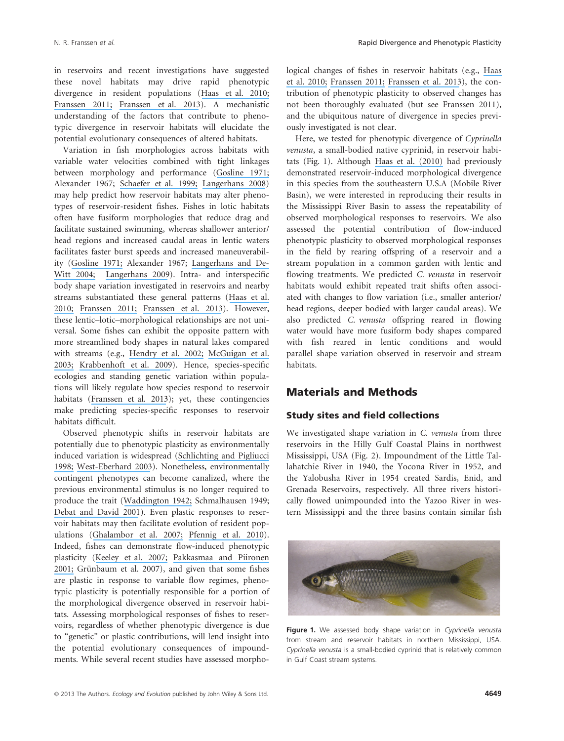in reservoirs and recent investigations have suggested these novel habitats may drive rapid phenotypic divergence in resident populations ([Haas et al. 2010;](https://www.researchgate.net/publication/44660214_Morphological_response_of_a_stream_fish_to_water_impoundment?el=1_x_8&enrichId=rgreq-8373416deb041a3e4d86053b3aa5c099-XXX&enrichSource=Y292ZXJQYWdlOzI1OTQ1MDUyMjtBUzoxMDY0NzA0NjA4ODcwNDJAMTQwMjM5NTk0NTEzNw==) [Franssen 2011;](https://www.researchgate.net/publication/230260561_Anthropogenic_habitat_alteration_induces_rapid_morphological_divergence_in_a_native_stream_fish?el=1_x_8&enrichId=rgreq-8373416deb041a3e4d86053b3aa5c099-XXX&enrichSource=Y292ZXJQYWdlOzI1OTQ1MDUyMjtBUzoxMDY0NzA0NjA4ODcwNDJAMTQwMjM5NTk0NTEzNw==) [Franssen et al. 2013](https://www.researchgate.net/publication/233909113_Shared_and_unique_morphological_responses_of_stream_fishes_to_anthropogenic_habitat_alteration?el=1_x_8&enrichId=rgreq-8373416deb041a3e4d86053b3aa5c099-XXX&enrichSource=Y292ZXJQYWdlOzI1OTQ1MDUyMjtBUzoxMDY0NzA0NjA4ODcwNDJAMTQwMjM5NTk0NTEzNw==)). A mechanistic understanding of the factors that contribute to phenotypic divergence in reservoir habitats will elucidate the potential evolutionary consequences of altered habitats.

Variation in fish morphologies across habitats with variable water velocities combined with tight linkages between morphology and performance ([Gosline 1971;](https://www.researchgate.net/publication/246269061_Functional_Morphology_and_Classification_of_Teleostean_Fishes?el=1_x_8&enrichId=rgreq-8373416deb041a3e4d86053b3aa5c099-XXX&enrichSource=Y292ZXJQYWdlOzI1OTQ1MDUyMjtBUzoxMDY0NzA0NjA4ODcwNDJAMTQwMjM5NTk0NTEzNw==) Alexander 1967; [Schaefer et al. 1999;](https://www.researchgate.net/publication/263688309_Physiological_Performance_and_Stream_Microhabitat_use_by_the_Centrarchids_Lepomis_megalotis_and_Lepomis_macrochirus?el=1_x_8&enrichId=rgreq-8373416deb041a3e4d86053b3aa5c099-XXX&enrichSource=Y292ZXJQYWdlOzI1OTQ1MDUyMjtBUzoxMDY0NzA0NjA4ODcwNDJAMTQwMjM5NTk0NTEzNw==) [Langerhans 2008](https://www.researchgate.net/publication/51216015_Predictability_of_phenotypic_differentiation_across_flow_regimes_in_fishes?el=1_x_8&enrichId=rgreq-8373416deb041a3e4d86053b3aa5c099-XXX&enrichSource=Y292ZXJQYWdlOzI1OTQ1MDUyMjtBUzoxMDY0NzA0NjA4ODcwNDJAMTQwMjM5NTk0NTEzNw==)) may help predict how reservoir habitats may alter phenotypes of reservoir-resident fishes. Fishes in lotic habitats often have fusiform morphologies that reduce drag and facilitate sustained swimming, whereas shallower anterior/ head regions and increased caudal areas in lentic waters facilitates faster burst speeds and increased maneuverability ([Gosline 1971;](https://www.researchgate.net/publication/246269061_Functional_Morphology_and_Classification_of_Teleostean_Fishes?el=1_x_8&enrichId=rgreq-8373416deb041a3e4d86053b3aa5c099-XXX&enrichSource=Y292ZXJQYWdlOzI1OTQ1MDUyMjtBUzoxMDY0NzA0NjA4ODcwNDJAMTQwMjM5NTk0NTEzNw==) Alexander 1967; [Langerhans and De-](https://www.researchgate.net/publication/8238147_Shared_and_Unique_Features_of_Evolutionary_Diversification?el=1_x_8&enrichId=rgreq-8373416deb041a3e4d86053b3aa5c099-XXX&enrichSource=Y292ZXJQYWdlOzI1OTQ1MDUyMjtBUzoxMDY0NzA0NjA4ODcwNDJAMTQwMjM5NTk0NTEzNw==)[Witt 2004;](https://www.researchgate.net/publication/8238147_Shared_and_Unique_Features_of_Evolutionary_Diversification?el=1_x_8&enrichId=rgreq-8373416deb041a3e4d86053b3aa5c099-XXX&enrichSource=Y292ZXJQYWdlOzI1OTQ1MDUyMjtBUzoxMDY0NzA0NjA4ODcwNDJAMTQwMjM5NTk0NTEzNw==) [Langerhans 2009](https://www.researchgate.net/publication/50991255_Trade-off_between_steady_and_unsteady_swimming_underlies_predator-driven_divergence_in_Gambusia_affins?el=1_x_8&enrichId=rgreq-8373416deb041a3e4d86053b3aa5c099-XXX&enrichSource=Y292ZXJQYWdlOzI1OTQ1MDUyMjtBUzoxMDY0NzA0NjA4ODcwNDJAMTQwMjM5NTk0NTEzNw==)). Intra- and interspecific body shape variation investigated in reservoirs and nearby streams substantiated these general patterns ([Haas et al.](https://www.researchgate.net/publication/44660214_Morphological_response_of_a_stream_fish_to_water_impoundment?el=1_x_8&enrichId=rgreq-8373416deb041a3e4d86053b3aa5c099-XXX&enrichSource=Y292ZXJQYWdlOzI1OTQ1MDUyMjtBUzoxMDY0NzA0NjA4ODcwNDJAMTQwMjM5NTk0NTEzNw==) [2010;](https://www.researchgate.net/publication/44660214_Morphological_response_of_a_stream_fish_to_water_impoundment?el=1_x_8&enrichId=rgreq-8373416deb041a3e4d86053b3aa5c099-XXX&enrichSource=Y292ZXJQYWdlOzI1OTQ1MDUyMjtBUzoxMDY0NzA0NjA4ODcwNDJAMTQwMjM5NTk0NTEzNw==) [Franssen 2011;](https://www.researchgate.net/publication/230260561_Anthropogenic_habitat_alteration_induces_rapid_morphological_divergence_in_a_native_stream_fish?el=1_x_8&enrichId=rgreq-8373416deb041a3e4d86053b3aa5c099-XXX&enrichSource=Y292ZXJQYWdlOzI1OTQ1MDUyMjtBUzoxMDY0NzA0NjA4ODcwNDJAMTQwMjM5NTk0NTEzNw==) [Franssen et al. 2013](https://www.researchgate.net/publication/233909113_Shared_and_unique_morphological_responses_of_stream_fishes_to_anthropogenic_habitat_alteration?el=1_x_8&enrichId=rgreq-8373416deb041a3e4d86053b3aa5c099-XXX&enrichSource=Y292ZXJQYWdlOzI1OTQ1MDUyMjtBUzoxMDY0NzA0NjA4ODcwNDJAMTQwMjM5NTk0NTEzNw==)). However, these lentic–lotic–morphological relationships are not universal. Some fishes can exhibit the opposite pattern with more streamlined body shapes in natural lakes compared with streams (e.g., [Hendry et al. 2002;](https://www.researchgate.net/publication/281043291_Adaptive_divergence_and_the_balance_between_selection_and_gene_flow_lake_and_stream_stickleback_in_the_Misty_system?el=1_x_8&enrichId=rgreq-8373416deb041a3e4d86053b3aa5c099-XXX&enrichSource=Y292ZXJQYWdlOzI1OTQ1MDUyMjtBUzoxMDY0NzA0NjA4ODcwNDJAMTQwMjM5NTk0NTEzNw==) [McGuigan et al.](https://www.researchgate.net/publication/10849608_Adaptation_of_rainbow_fish_to_lake_and_stream_habitats?el=1_x_8&enrichId=rgreq-8373416deb041a3e4d86053b3aa5c099-XXX&enrichSource=Y292ZXJQYWdlOzI1OTQ1MDUyMjtBUzoxMDY0NzA0NjA4ODcwNDJAMTQwMjM5NTk0NTEzNw==) [2003;](https://www.researchgate.net/publication/10849608_Adaptation_of_rainbow_fish_to_lake_and_stream_habitats?el=1_x_8&enrichId=rgreq-8373416deb041a3e4d86053b3aa5c099-XXX&enrichSource=Y292ZXJQYWdlOzI1OTQ1MDUyMjtBUzoxMDY0NzA0NjA4ODcwNDJAMTQwMjM5NTk0NTEzNw==) [Krabbenhoft et al. 2009](https://www.researchgate.net/publication/227673168_Differing_evolutionary_patterns_underlie_convergence_on_elongate_morphology_in_endemic_fishes_of_Lake_Waccamaw_North_Carolina?el=1_x_8&enrichId=rgreq-8373416deb041a3e4d86053b3aa5c099-XXX&enrichSource=Y292ZXJQYWdlOzI1OTQ1MDUyMjtBUzoxMDY0NzA0NjA4ODcwNDJAMTQwMjM5NTk0NTEzNw==)). Hence, species-specific ecologies and standing genetic variation within populations will likely regulate how species respond to reservoir habitats ([Franssen et al. 2013](https://www.researchgate.net/publication/233909113_Shared_and_unique_morphological_responses_of_stream_fishes_to_anthropogenic_habitat_alteration?el=1_x_8&enrichId=rgreq-8373416deb041a3e4d86053b3aa5c099-XXX&enrichSource=Y292ZXJQYWdlOzI1OTQ1MDUyMjtBUzoxMDY0NzA0NjA4ODcwNDJAMTQwMjM5NTk0NTEzNw==)); yet, these contingencies make predicting species-specific responses to reservoir habitats difficult.

Observed phenotypic shifts in reservoir habitats are potentially due to phenotypic plasticity as environmentally induced variation is widespread [\(Schlichting and Pigliucci](https://www.researchgate.net/publication/247172931_Phenotype_evolution_a_reaction_norm_perspective?el=1_x_8&enrichId=rgreq-8373416deb041a3e4d86053b3aa5c099-XXX&enrichSource=Y292ZXJQYWdlOzI1OTQ1MDUyMjtBUzoxMDY0NzA0NjA4ODcwNDJAMTQwMjM5NTk0NTEzNw==) [1998;](https://www.researchgate.net/publication/247172931_Phenotype_evolution_a_reaction_norm_perspective?el=1_x_8&enrichId=rgreq-8373416deb041a3e4d86053b3aa5c099-XXX&enrichSource=Y292ZXJQYWdlOzI1OTQ1MDUyMjtBUzoxMDY0NzA0NjA4ODcwNDJAMTQwMjM5NTk0NTEzNw==) [West-Eberhard 2003](https://www.researchgate.net/publication/37811300_Developmental_Plasticity_And_Evolution?el=1_x_8&enrichId=rgreq-8373416deb041a3e4d86053b3aa5c099-XXX&enrichSource=Y292ZXJQYWdlOzI1OTQ1MDUyMjtBUzoxMDY0NzA0NjA4ODcwNDJAMTQwMjM5NTk0NTEzNw==)). Nonetheless, environmentally contingent phenotypes can become canalized, where the previous environmental stimulus is no longer required to produce the trait ([Waddington 1942;](https://www.researchgate.net/publication/245603410_Canalization_of_Development_and_the_Inheritance_of_Acquired_Characters?el=1_x_8&enrichId=rgreq-8373416deb041a3e4d86053b3aa5c099-XXX&enrichSource=Y292ZXJQYWdlOzI1OTQ1MDUyMjtBUzoxMDY0NzA0NjA4ODcwNDJAMTQwMjM5NTk0NTEzNw==) Schmalhausen 1949; [Debat and David 2001](https://www.researchgate.net/publication/222690142_Mapping_phenotypes_Canalization_plasticity_and_developmental_stability?el=1_x_8&enrichId=rgreq-8373416deb041a3e4d86053b3aa5c099-XXX&enrichSource=Y292ZXJQYWdlOzI1OTQ1MDUyMjtBUzoxMDY0NzA0NjA4ODcwNDJAMTQwMjM5NTk0NTEzNw==)). Even plastic responses to reservoir habitats may then facilitate evolution of resident populations ([Ghalambor et al. 2007;](https://www.researchgate.net/publication/216769197_Adaptive_versus_non-adaptive_phenotypic_plasticity_and_the_potential_for_contemporary_adaptation_in_new_environments?el=1_x_8&enrichId=rgreq-8373416deb041a3e4d86053b3aa5c099-XXX&enrichSource=Y292ZXJQYWdlOzI1OTQ1MDUyMjtBUzoxMDY0NzA0NjA4ODcwNDJAMTQwMjM5NTk0NTEzNw==) [Pfennig et al. 2010](https://www.researchgate.net/publication/44682721_Phenotypic_plasticity)). Indeed, fishes can demonstrate flow-induced phenotypic plasticity ([Keeley et al. 2007;](https://www.researchgate.net/publication/6499393_The_origins_of_ecotypic_variation_of_rainbow_trout_A_test_of_environmental_vs_genetically_based_differences_in_morphology?el=1_x_8&enrichId=rgreq-8373416deb041a3e4d86053b3aa5c099-XXX&enrichSource=Y292ZXJQYWdlOzI1OTQ1MDUyMjtBUzoxMDY0NzA0NjA4ODcwNDJAMTQwMjM5NTk0NTEzNw==) [Pakkasmaa and Piironen](https://www.researchgate.net/publication/226361395_Flow_velocity_shapes_juvenile_salmonids?el=1_x_8&enrichId=rgreq-8373416deb041a3e4d86053b3aa5c099-XXX&enrichSource=Y292ZXJQYWdlOzI1OTQ1MDUyMjtBUzoxMDY0NzA0NjA4ODcwNDJAMTQwMjM5NTk0NTEzNw==) [2001;](https://www.researchgate.net/publication/226361395_Flow_velocity_shapes_juvenile_salmonids?el=1_x_8&enrichId=rgreq-8373416deb041a3e4d86053b3aa5c099-XXX&enrichSource=Y292ZXJQYWdlOzI1OTQ1MDUyMjtBUzoxMDY0NzA0NjA4ODcwNDJAMTQwMjM5NTk0NTEzNw==) Grünbaum et al. 2007), and given that some fishes are plastic in response to variable flow regimes, phenotypic plasticity is potentially responsible for a portion of the morphological divergence observed in reservoir habitats. Assessing morphological responses of fishes to reservoirs, regardless of whether phenotypic divergence is due to "genetic" or plastic contributions, will lend insight into the potential evolutionary consequences of impoundments. While several recent studies have assessed morphological changes of fishes in reservoir habitats (e.g., [Haas](https://www.researchgate.net/publication/44660214_Morphological_response_of_a_stream_fish_to_water_impoundment?el=1_x_8&enrichId=rgreq-8373416deb041a3e4d86053b3aa5c099-XXX&enrichSource=Y292ZXJQYWdlOzI1OTQ1MDUyMjtBUzoxMDY0NzA0NjA4ODcwNDJAMTQwMjM5NTk0NTEzNw==) [et al. 2010;](https://www.researchgate.net/publication/44660214_Morphological_response_of_a_stream_fish_to_water_impoundment?el=1_x_8&enrichId=rgreq-8373416deb041a3e4d86053b3aa5c099-XXX&enrichSource=Y292ZXJQYWdlOzI1OTQ1MDUyMjtBUzoxMDY0NzA0NjA4ODcwNDJAMTQwMjM5NTk0NTEzNw==) [Franssen 2011;](https://www.researchgate.net/publication/230260561_Anthropogenic_habitat_alteration_induces_rapid_morphological_divergence_in_a_native_stream_fish?el=1_x_8&enrichId=rgreq-8373416deb041a3e4d86053b3aa5c099-XXX&enrichSource=Y292ZXJQYWdlOzI1OTQ1MDUyMjtBUzoxMDY0NzA0NjA4ODcwNDJAMTQwMjM5NTk0NTEzNw==) [Franssen et al. 2013](https://www.researchgate.net/publication/233909113_Shared_and_unique_morphological_responses_of_stream_fishes_to_anthropogenic_habitat_alteration?el=1_x_8&enrichId=rgreq-8373416deb041a3e4d86053b3aa5c099-XXX&enrichSource=Y292ZXJQYWdlOzI1OTQ1MDUyMjtBUzoxMDY0NzA0NjA4ODcwNDJAMTQwMjM5NTk0NTEzNw==)), the contribution of phenotypic plasticity to observed changes has not been thoroughly evaluated (but see Franssen 2011), and the ubiquitous nature of divergence in species previously investigated is not clear.

Here, we tested for phenotypic divergence of Cyprinella venusta, a small-bodied native cyprinid, in reservoir habitats (Fig. 1). Although [Haas et al. \(2010\)](https://www.researchgate.net/publication/44660214_Morphological_response_of_a_stream_fish_to_water_impoundment?el=1_x_8&enrichId=rgreq-8373416deb041a3e4d86053b3aa5c099-XXX&enrichSource=Y292ZXJQYWdlOzI1OTQ1MDUyMjtBUzoxMDY0NzA0NjA4ODcwNDJAMTQwMjM5NTk0NTEzNw==) had previously demonstrated reservoir-induced morphological divergence in this species from the southeastern U.S.A (Mobile River Basin), we were interested in reproducing their results in the Mississippi River Basin to assess the repeatability of observed morphological responses to reservoirs. We also assessed the potential contribution of flow-induced phenotypic plasticity to observed morphological responses in the field by rearing offspring of a reservoir and a stream population in a common garden with lentic and flowing treatments. We predicted C. venusta in reservoir habitats would exhibit repeated trait shifts often associated with changes to flow variation (i.e., smaller anterior/ head regions, deeper bodied with larger caudal areas). We also predicted C. venusta offspring reared in flowing water would have more fusiform body shapes compared with fish reared in lentic conditions and would parallel shape variation observed in reservoir and stream habitats.

# Materials and Methods

#### Study sites and field collections

We investigated shape variation in C. venusta from three reservoirs in the Hilly Gulf Coastal Plains in northwest Mississippi, USA (Fig. 2). Impoundment of the Little Tallahatchie River in 1940, the Yocona River in 1952, and the Yalobusha River in 1954 created Sardis, Enid, and Grenada Reservoirs, respectively. All three rivers historically flowed unimpounded into the Yazoo River in western Mississippi and the three basins contain similar fish



Figure 1. We assessed body shape variation in Cyprinella venusta from stream and reservoir habitats in northern Mississippi, USA. Cyprinella venusta is a small-bodied cyprinid that is relatively common in Gulf Coast stream systems.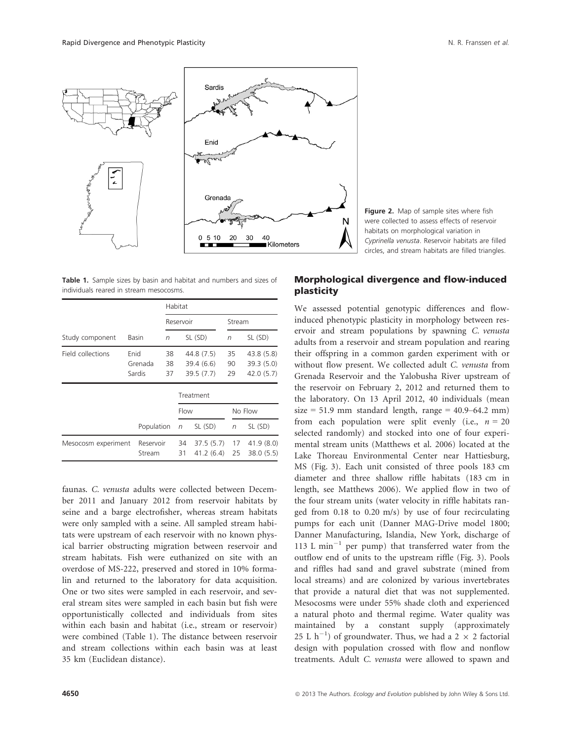

Table 1. Sample sizes by basin and habitat and numbers and sizes of individuals reared in stream mesocosms.

|                     |      |                     | Habitat    |          |                        |  |            |                        |  |
|---------------------|------|---------------------|------------|----------|------------------------|--|------------|------------------------|--|
|                     |      |                     | Reservoir  |          |                        |  | Stream     |                        |  |
| Study component     |      | Basin               | $\sqrt{n}$ |          | SL (SD)                |  | n          | SL (SD)                |  |
| Field collections   | Enid |                     | 38         |          | 44.8 (7.5)             |  | 35         | 43.8 (5.8)             |  |
|                     |      | Grenada             | 38         |          | 39.4(6.6)              |  | 90         | 39.3(5.0)              |  |
|                     |      | Sardis              | 37         |          | 39.5(7.7)              |  | 29         | 42.0(5.7)              |  |
|                     |      | Treatment           |            |          |                        |  |            |                        |  |
|                     |      |                     |            | Flow     |                        |  |            | No Flow                |  |
|                     |      |                     | Population |          | SL (SD)                |  | $\sqrt{n}$ | SL (SD)                |  |
| Mesocosm experiment |      | Reservoir<br>Stream |            | 34<br>31 | 37.5(5.7)<br>41.2(6.4) |  | 17<br>25   | 41.9(8.0)<br>38.0(5.5) |  |

faunas. C. venusta adults were collected between December 2011 and January 2012 from reservoir habitats by seine and a barge electrofisher, whereas stream habitats were only sampled with a seine. All sampled stream habitats were upstream of each reservoir with no known physical barrier obstructing migration between reservoir and stream habitats. Fish were euthanized on site with an overdose of MS-222, preserved and stored in 10% formalin and returned to the laboratory for data acquisition. One or two sites were sampled in each reservoir, and several stream sites were sampled in each basin but fish were opportunistically collected and individuals from sites within each basin and habitat (i.e., stream or reservoir) were combined (Table 1). The distance between reservoir and stream collections within each basin was at least 35 km (Euclidean distance).



## Morphological divergence and flow-induced plasticity

We assessed potential genotypic differences and flowinduced phenotypic plasticity in morphology between reservoir and stream populations by spawning C. venusta adults from a reservoir and stream population and rearing their offspring in a common garden experiment with or without flow present. We collected adult C. venusta from Grenada Reservoir and the Yalobusha River upstream of the reservoir on February 2, 2012 and returned them to the laboratory. On 13 April 2012, 40 individuals (mean size = 51.9 mm standard length, range =  $40.9 - 64.2$  mm) from each population were split evenly (i.e.,  $n = 20$ selected randomly) and stocked into one of four experimental stream units (Matthews et al. 2006) located at the Lake Thoreau Environmental Center near Hattiesburg, MS (Fig. 3). Each unit consisted of three pools 183 cm diameter and three shallow riffle habitats (183 cm in length, see Matthews 2006). We applied flow in two of the four stream units (water velocity in riffle habitats ranged from 0.18 to 0.20 m/s) by use of four recirculating pumps for each unit (Danner MAG-Drive model 1800; Danner Manufacturing, Islandia, New York, discharge of 113 L min<sup>-1</sup> per pump) that transferred water from the outflow end of units to the upstream riffle (Fig. 3). Pools and riffles had sand and gravel substrate (mined from local streams) and are colonized by various invertebrates that provide a natural diet that was not supplemented. Mesocosms were under 55% shade cloth and experienced a natural photo and thermal regime. Water quality was maintained by a constant supply (approximately 25 L  $h^{-1}$ ) of groundwater. Thus, we had a 2  $\times$  2 factorial design with population crossed with flow and nonflow treatments. Adult C. venusta were allowed to spawn and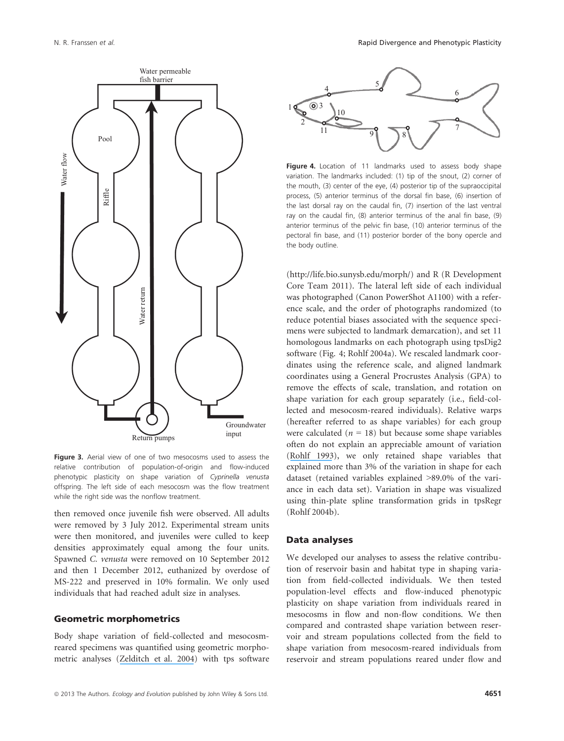

Figure 3. Aerial view of one of two mesocosms used to assess the relative contribution of population-of-origin and flow-induced phenotypic plasticity on shape variation of Cyprinella venusta offspring. The left side of each mesocosm was the flow treatment while the right side was the nonflow treatment.

then removed once juvenile fish were observed. All adults were removed by 3 July 2012. Experimental stream units were then monitored, and juveniles were culled to keep densities approximately equal among the four units. Spawned C. venusta were removed on 10 September 2012 and then 1 December 2012, euthanized by overdose of MS-222 and preserved in 10% formalin. We only used individuals that had reached adult size in analyses.

#### Geometric morphometrics

Body shape variation of field-collected and mesocosmreared specimens was quantified using geometric morphometric analyses ([Zelditch et al. 2004](https://www.researchgate.net/publication/265290156_Geometric_Morphometrics_for_Biologists_A_Primer?el=1_x_8&enrichId=rgreq-8373416deb041a3e4d86053b3aa5c099-XXX&enrichSource=Y292ZXJQYWdlOzI1OTQ1MDUyMjtBUzoxMDY0NzA0NjA4ODcwNDJAMTQwMjM5NTk0NTEzNw==)) with tps software



Figure 4. Location of 11 landmarks used to assess body shape variation. The landmarks included: (1) tip of the snout, (2) corner of the mouth, (3) center of the eye, (4) posterior tip of the supraoccipital process, (5) anterior terminus of the dorsal fin base, (6) insertion of the last dorsal ray on the caudal fin, (7) insertion of the last ventral ray on the caudal fin, (8) anterior terminus of the anal fin base, (9) anterior terminus of the pelvic fin base, (10) anterior terminus of the pectoral fin base, and (11) posterior border of the bony opercle and the body outline.

(http://life.bio.sunysb.edu/morph/) and R (R Development Core Team 2011). The lateral left side of each individual was photographed (Canon PowerShot A1100) with a reference scale, and the order of photographs randomized (to reduce potential biases associated with the sequence specimens were subjected to landmark demarcation), and set 11 homologous landmarks on each photograph using tpsDig2 software (Fig. 4; Rohlf 2004a). We rescaled landmark coordinates using the reference scale, and aligned landmark coordinates using a General Procrustes Analysis (GPA) to remove the effects of scale, translation, and rotation on shape variation for each group separately (i.e., field-collected and mesocosm-reared individuals). Relative warps (hereafter referred to as shape variables) for each group were calculated ( $n = 18$ ) but because some shape variables often do not explain an appreciable amount of variation ([Rohlf 1993](https://www.researchgate.net/publication/265726933_Relative-warp_analysis_and_an_example_of_its_application_to_mosquito_wings?el=1_x_8&enrichId=rgreq-8373416deb041a3e4d86053b3aa5c099-XXX&enrichSource=Y292ZXJQYWdlOzI1OTQ1MDUyMjtBUzoxMDY0NzA0NjA4ODcwNDJAMTQwMjM5NTk0NTEzNw==)), we only retained shape variables that explained more than 3% of the variation in shape for each dataset (retained variables explained >89.0% of the variance in each data set). Variation in shape was visualized using thin-plate spline transformation grids in tpsRegr (Rohlf 2004b).

#### Data analyses

We developed our analyses to assess the relative contribution of reservoir basin and habitat type in shaping variation from field-collected individuals. We then tested population-level effects and flow-induced phenotypic plasticity on shape variation from individuals reared in mesocosms in flow and non-flow conditions. We then compared and contrasted shape variation between reservoir and stream populations collected from the field to shape variation from mesocosm-reared individuals from reservoir and stream populations reared under flow and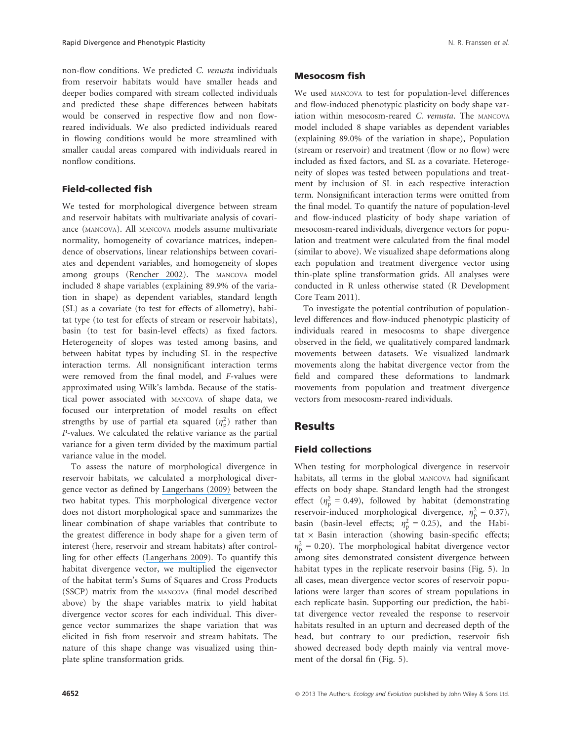non-flow conditions. We predicted C. venusta individuals from reservoir habitats would have smaller heads and deeper bodies compared with stream collected individuals and predicted these shape differences between habitats would be conserved in respective flow and non flowreared individuals. We also predicted individuals reared in flowing conditions would be more streamlined with smaller caudal areas compared with individuals reared in nonflow conditions.

#### Field-collected fish

We tested for morphological divergence between stream and reservoir habitats with multivariate analysis of covariance (MANCOVA). All MANCOVA models assume multivariate normality, homogeneity of covariance matrices, independence of observations, linear relationships between covariates and dependent variables, and homogeneity of slopes among groups ([Rencher 2002](https://www.researchgate.net/publication/276041718_Methods_of_Multivariate_Analysis?el=1_x_8&enrichId=rgreq-8373416deb041a3e4d86053b3aa5c099-XXX&enrichSource=Y292ZXJQYWdlOzI1OTQ1MDUyMjtBUzoxMDY0NzA0NjA4ODcwNDJAMTQwMjM5NTk0NTEzNw==)). The MANCOVA model included 8 shape variables (explaining 89.9% of the variation in shape) as dependent variables, standard length (SL) as a covariate (to test for effects of allometry), habitat type (to test for effects of stream or reservoir habitats), basin (to test for basin-level effects) as fixed factors. Heterogeneity of slopes was tested among basins, and between habitat types by including SL in the respective interaction terms. All nonsignificant interaction terms were removed from the final model, and F-values were approximated using Wilk's lambda. Because of the statistical power associated with MANCOVA of shape data, we focused our interpretation of model results on effect strengths by use of partial eta squared  $(\eta_P^2)$  rather than<br>*P* values. We calculated the relative variance as the partial P-values. We calculated the relative variance as the partial variance for a given term divided by the maximum partial variance value in the model.

To assess the nature of morphological divergence in reservoir habitats, we calculated a morphological divergence vector as defined by [Langerhans \(2009\)](https://www.researchgate.net/publication/50991255_Trade-off_between_steady_and_unsteady_swimming_underlies_predator-driven_divergence_in_Gambusia_affins?el=1_x_8&enrichId=rgreq-8373416deb041a3e4d86053b3aa5c099-XXX&enrichSource=Y292ZXJQYWdlOzI1OTQ1MDUyMjtBUzoxMDY0NzA0NjA4ODcwNDJAMTQwMjM5NTk0NTEzNw==) between the two habitat types. This morphological divergence vector does not distort morphological space and summarizes the linear combination of shape variables that contribute to the greatest difference in body shape for a given term of interest (here, reservoir and stream habitats) after controlling for other effects ([Langerhans 2009](https://www.researchgate.net/publication/50991255_Trade-off_between_steady_and_unsteady_swimming_underlies_predator-driven_divergence_in_Gambusia_affins?el=1_x_8&enrichId=rgreq-8373416deb041a3e4d86053b3aa5c099-XXX&enrichSource=Y292ZXJQYWdlOzI1OTQ1MDUyMjtBUzoxMDY0NzA0NjA4ODcwNDJAMTQwMjM5NTk0NTEzNw==)). To quantify this habitat divergence vector, we multiplied the eigenvector of the habitat term's Sums of Squares and Cross Products (SSCP) matrix from the MANCOVA (final model described above) by the shape variables matrix to yield habitat divergence vector scores for each individual. This divergence vector summarizes the shape variation that was elicited in fish from reservoir and stream habitats. The nature of this shape change was visualized using thinplate spline transformation grids.

#### Mesocosm fish

We used MANCOVA to test for population-level differences and flow-induced phenotypic plasticity on body shape variation within mesocosm-reared C. venusta. The MANCOVA model included 8 shape variables as dependent variables (explaining 89.0% of the variation in shape), Population (stream or reservoir) and treatment (flow or no flow) were included as fixed factors, and SL as a covariate. Heterogeneity of slopes was tested between populations and treatment by inclusion of SL in each respective interaction term. Nonsignificant interaction terms were omitted from the final model. To quantify the nature of population-level and flow-induced plasticity of body shape variation of mesocosm-reared individuals, divergence vectors for population and treatment were calculated from the final model (similar to above). We visualized shape deformations along each population and treatment divergence vector using thin-plate spline transformation grids. All analyses were conducted in R unless otherwise stated (R Development Core Team 2011).

To investigate the potential contribution of populationlevel differences and flow-induced phenotypic plasticity of individuals reared in mesocosms to shape divergence observed in the field, we qualitatively compared landmark movements between datasets. We visualized landmark movements along the habitat divergence vector from the field and compared these deformations to landmark movements from population and treatment divergence vectors from mesocosm-reared individuals.

## Results

#### Field collections

When testing for morphological divergence in reservoir habitats, all terms in the global MANCOVA had significant effects on body shape. Standard length had the strongest effect ( $\eta_p^2 = 0.49$ ), followed by habitat (demonstrating<br>receptor induced morphological divergence  $n^2 = 0.37$ ) reservoir-induced morphological divergence,  $\eta_p^2 = 0.37$ ),<br>basin, (basin lavel effects:  $n^2 = 0.25$ ), and the Habi basin (basin-level effects;  $\eta_p^2 = 0.25$ ), and the Habi-<br>tat  $\times$  Basin interaction (showing basin-specific effects: tat  $\times$  Basin interaction (showing basin-specific effects;  $\eta_{\rm p}^2$  = 0.20). The morphological habitat divergence vector<br>among sites demonstrated consistent divergence between among sites demonstrated consistent divergence between habitat types in the replicate reservoir basins (Fig. 5). In all cases, mean divergence vector scores of reservoir populations were larger than scores of stream populations in each replicate basin. Supporting our prediction, the habitat divergence vector revealed the response to reservoir habitats resulted in an upturn and decreased depth of the head, but contrary to our prediction, reservoir fish showed decreased body depth mainly via ventral movement of the dorsal fin (Fig. 5).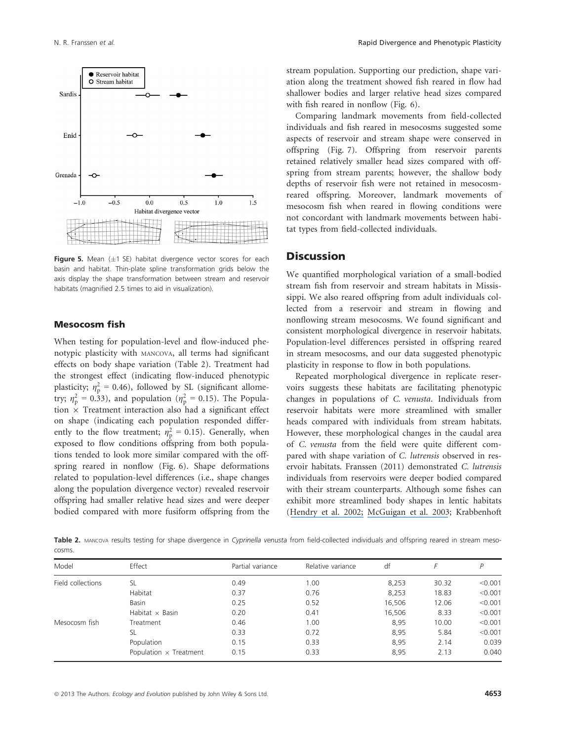

**Figure 5.** Mean  $(\pm 1 \text{ SE})$  habitat divergence vector scores for each basin and habitat. Thin-plate spline transformation grids below the axis display the shape transformation between stream and reservoir habitats (magnified 2.5 times to aid in visualization).

#### Mesocosm fish

When testing for population-level and flow-induced phenotypic plasticity with MANCOVA, all terms had significant effects on body shape variation (Table 2). Treatment had the strongest effect (indicating flow-induced phenotypic plasticity;  $\eta_p^2 = 0.46$ ), followed by SL (significant allome-<br>try  $n^2 = 0.33$ ), and population ( $n^2 = 0.15$ ). The Popula try;  $\eta_p^2 = 0.33$ ), and population ( $\eta_p^2 = 0.15$ ). The Population  $\times$  Treatment interaction also had a significant effect tion  $\times$  Treatment interaction also had a significant effect on shape (indicating each population responded differently to the flow treatment;  $\eta_{\rm p}^2 = 0.15$ ). Generally, when<br>exposed to flow conditions offerring from both populaexposed to flow conditions offspring from both populations tended to look more similar compared with the offspring reared in nonflow (Fig. 6). Shape deformations related to population-level differences (i.e., shape changes along the population divergence vector) revealed reservoir offspring had smaller relative head sizes and were deeper bodied compared with more fusiform offspring from the stream population. Supporting our prediction, shape variation along the treatment showed fish reared in flow had shallower bodies and larger relative head sizes compared with fish reared in nonflow (Fig. 6).

Comparing landmark movements from field-collected individuals and fish reared in mesocosms suggested some aspects of reservoir and stream shape were conserved in offspring (Fig. 7). Offspring from reservoir parents retained relatively smaller head sizes compared with offspring from stream parents; however, the shallow body depths of reservoir fish were not retained in mesocosmreared offspring. Moreover, landmark movements of mesocosm fish when reared in flowing conditions were not concordant with landmark movements between habitat types from field-collected individuals.

#### **Discussion**

We quantified morphological variation of a small-bodied stream fish from reservoir and stream habitats in Mississippi. We also reared offspring from adult individuals collected from a reservoir and stream in flowing and nonflowing stream mesocosms. We found significant and consistent morphological divergence in reservoir habitats. Population-level differences persisted in offspring reared in stream mesocosms, and our data suggested phenotypic plasticity in response to flow in both populations.

Repeated morphological divergence in replicate reservoirs suggests these habitats are facilitating phenotypic changes in populations of C. venusta. Individuals from reservoir habitats were more streamlined with smaller heads compared with individuals from stream habitats. However, these morphological changes in the caudal area of C. venusta from the field were quite different compared with shape variation of C. lutrensis observed in reservoir habitats. Franssen (2011) demonstrated C. lutrensis individuals from reservoirs were deeper bodied compared with their stream counterparts. Although some fishes can exhibit more streamlined body shapes in lentic habitats ([Hendry et al. 2002;](https://www.researchgate.net/publication/281043291_Adaptive_divergence_and_the_balance_between_selection_and_gene_flow_lake_and_stream_stickleback_in_the_Misty_system?el=1_x_8&enrichId=rgreq-8373416deb041a3e4d86053b3aa5c099-XXX&enrichSource=Y292ZXJQYWdlOzI1OTQ1MDUyMjtBUzoxMDY0NzA0NjA4ODcwNDJAMTQwMjM5NTk0NTEzNw==) [McGuigan et al. 2003](https://www.researchgate.net/publication/10849608_Adaptation_of_rainbow_fish_to_lake_and_stream_habitats?el=1_x_8&enrichId=rgreq-8373416deb041a3e4d86053b3aa5c099-XXX&enrichSource=Y292ZXJQYWdlOzI1OTQ1MDUyMjtBUzoxMDY0NzA0NjA4ODcwNDJAMTQwMjM5NTk0NTEzNw==); Krabbenhoft

Table 2. MANCOVA results testing for shape divergence in Cyprinella venusta from field-collected individuals and offspring reared in stream mesocosms.

| Model             | Effect                        | Partial variance | Relative variance | df     |       |         |
|-------------------|-------------------------------|------------------|-------------------|--------|-------|---------|
| Field collections | SL                            | 0.49             | 1.00              | 8,253  | 30.32 | < 0.001 |
|                   | Habitat                       | 0.37             | 0.76              | 8,253  | 18.83 | < 0.001 |
|                   | <b>Basin</b>                  | 0.25             | 0.52              | 16,506 | 12.06 | < 0.001 |
|                   | Habitat $\times$ Basin        | 0.20             | 0.41              | 16,506 | 8.33  | < 0.001 |
| Mesocosm fish     | Treatment                     | 0.46             | 1.00              | 8,95   | 10.00 | < 0.001 |
|                   | SL                            | 0.33             | 0.72              | 8,95   | 5.84  | < 0.001 |
|                   | Population                    | 0.15             | 0.33              | 8,95   | 2.14  | 0.039   |
|                   | Population $\times$ Treatment | 0.15             | 0.33              | 8,95   | 2.13  | 0.040   |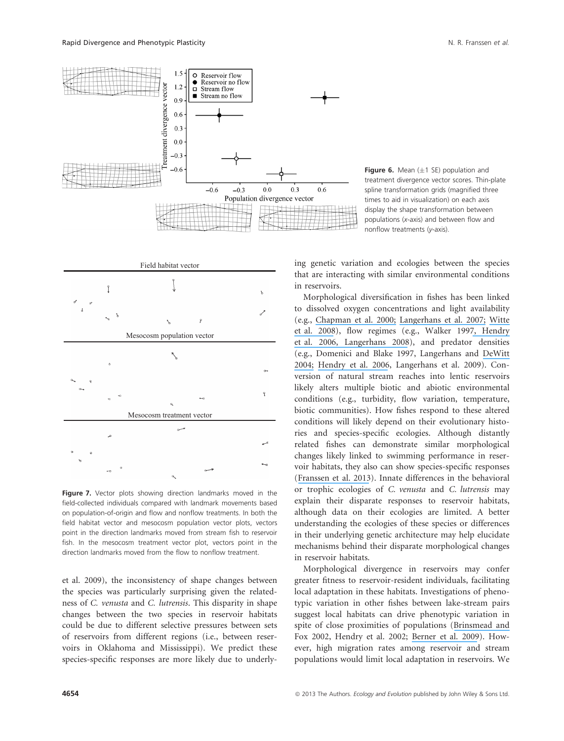



Figure 7. Vector plots showing direction landmarks moved in the field-collected individuals compared with landmark movements based on population-of-origin and flow and nonflow treatments. In both the field habitat vector and mesocosm population vector plots, vectors point in the direction landmarks moved from stream fish to reservoir fish. In the mesocosm treatment vector plot, vectors point in the direction landmarks moved from the flow to nonflow treatment.

et al. 2009), the inconsistency of shape changes between the species was particularly surprising given the relatedness of C. venusta and C. lutrensis. This disparity in shape changes between the two species in reservoir habitats could be due to different selective pressures between sets of reservoirs from different regions (i.e., between reservoirs in Oklahoma and Mississippi). We predict these species-specific responses are more likely due to underlyFigure 6. Mean  $(\pm 1 \text{ SE})$  population and treatment divergence vector scores. Thin-plate spline transformation grids (magnified three times to aid in visualization) on each axis display the shape transformation between populations (x-axis) and between flow and nonflow treatments (y-axis).

ing genetic variation and ecologies between the species that are interacting with similar environmental conditions in reservoirs.

Morphological diversification in fishes has been linked to dissolved oxygen concentrations and light availability (e.g., [Chapman et al. 2000;](https://www.researchgate.net/publication/229930605_Phenotypic_plasticity_and_the_possible_role_of_genetic_assimilation_Hypoxia-induced_trade-offs_in_the_morphological_traits_of_an_African_cichlid?el=1_x_8&enrichId=rgreq-8373416deb041a3e4d86053b3aa5c099-XXX&enrichSource=Y292ZXJQYWdlOzI1OTQ1MDUyMjtBUzoxMDY0NzA0NjA4ODcwNDJAMTQwMjM5NTk0NTEzNw==) [Langerhans et al. 2007;](https://www.researchgate.net/publication/6363863_Complex_phenotype-environment_associations_revealed_in_an_East_African_cyprinid?el=1_x_8&enrichId=rgreq-8373416deb041a3e4d86053b3aa5c099-XXX&enrichSource=Y292ZXJQYWdlOzI1OTQ1MDUyMjtBUzoxMDY0NzA0NjA4ODcwNDJAMTQwMjM5NTk0NTEzNw==) [Witte](https://www.researchgate.net/publication/213776272_Major_morphological_changes_in_a_Lake_Victoria_fish_within_two_decades?el=1_x_8&enrichId=rgreq-8373416deb041a3e4d86053b3aa5c099-XXX&enrichSource=Y292ZXJQYWdlOzI1OTQ1MDUyMjtBUzoxMDY0NzA0NjA4ODcwNDJAMTQwMjM5NTk0NTEzNw==) [et al. 2008](https://www.researchgate.net/publication/213776272_Major_morphological_changes_in_a_Lake_Victoria_fish_within_two_decades?el=1_x_8&enrichId=rgreq-8373416deb041a3e4d86053b3aa5c099-XXX&enrichSource=Y292ZXJQYWdlOzI1OTQ1MDUyMjtBUzoxMDY0NzA0NjA4ODcwNDJAMTQwMjM5NTk0NTEzNw==)), flow regimes (e.g., Walker 199[7, Hendry](https://www.researchgate.net/publication/7105524_Parallel_evolution_of_the_sexes_Effects_of_predation_and_habitat_features_on_the_size_and_shape_of_guppies?el=1_x_8&enrichId=rgreq-8373416deb041a3e4d86053b3aa5c099-XXX&enrichSource=Y292ZXJQYWdlOzI1OTQ1MDUyMjtBUzoxMDY0NzA0NjA4ODcwNDJAMTQwMjM5NTk0NTEzNw==) [et al. 2006](https://www.researchgate.net/publication/7105524_Parallel_evolution_of_the_sexes_Effects_of_predation_and_habitat_features_on_the_size_and_shape_of_guppies?el=1_x_8&enrichId=rgreq-8373416deb041a3e4d86053b3aa5c099-XXX&enrichSource=Y292ZXJQYWdlOzI1OTQ1MDUyMjtBUzoxMDY0NzA0NjA4ODcwNDJAMTQwMjM5NTk0NTEzNw==)[, Langerhans 2008](https://www.researchgate.net/publication/51216015_Predictability_of_phenotypic_differentiation_across_flow_regimes_in_fishes?el=1_x_8&enrichId=rgreq-8373416deb041a3e4d86053b3aa5c099-XXX&enrichSource=Y292ZXJQYWdlOzI1OTQ1MDUyMjtBUzoxMDY0NzA0NjA4ODcwNDJAMTQwMjM5NTk0NTEzNw==)), and predator densities (e.g., Domenici and Blake 1997, Langerhans and [DeWitt](https://www.researchgate.net/publication/8238147_Shared_and_Unique_Features_of_Evolutionary_Diversification?el=1_x_8&enrichId=rgreq-8373416deb041a3e4d86053b3aa5c099-XXX&enrichSource=Y292ZXJQYWdlOzI1OTQ1MDUyMjtBUzoxMDY0NzA0NjA4ODcwNDJAMTQwMjM5NTk0NTEzNw==) [2004;](https://www.researchgate.net/publication/8238147_Shared_and_Unique_Features_of_Evolutionary_Diversification?el=1_x_8&enrichId=rgreq-8373416deb041a3e4d86053b3aa5c099-XXX&enrichSource=Y292ZXJQYWdlOzI1OTQ1MDUyMjtBUzoxMDY0NzA0NjA4ODcwNDJAMTQwMjM5NTk0NTEzNw==) [Hendry et al. 2006](https://www.researchgate.net/publication/7105524_Parallel_evolution_of_the_sexes_Effects_of_predation_and_habitat_features_on_the_size_and_shape_of_guppies?el=1_x_8&enrichId=rgreq-8373416deb041a3e4d86053b3aa5c099-XXX&enrichSource=Y292ZXJQYWdlOzI1OTQ1MDUyMjtBUzoxMDY0NzA0NjA4ODcwNDJAMTQwMjM5NTk0NTEzNw==), Langerhans et al. 2009). Conversion of natural stream reaches into lentic reservoirs likely alters multiple biotic and abiotic environmental conditions (e.g., turbidity, flow variation, temperature, biotic communities). How fishes respond to these altered conditions will likely depend on their evolutionary histories and species-specific ecologies. Although distantly related fishes can demonstrate similar morphological changes likely linked to swimming performance in reservoir habitats, they also can show species-specific responses ([Franssen et al. 2013](https://www.researchgate.net/publication/233909113_Shared_and_unique_morphological_responses_of_stream_fishes_to_anthropogenic_habitat_alteration?el=1_x_8&enrichId=rgreq-8373416deb041a3e4d86053b3aa5c099-XXX&enrichSource=Y292ZXJQYWdlOzI1OTQ1MDUyMjtBUzoxMDY0NzA0NjA4ODcwNDJAMTQwMjM5NTk0NTEzNw==)). Innate differences in the behavioral or trophic ecologies of C. venusta and C. lutrensis may explain their disparate responses to reservoir habitats, although data on their ecologies are limited. A better understanding the ecologies of these species or differences in their underlying genetic architecture may help elucidate mechanisms behind their disparate morphological changes in reservoir habitats.

Morphological divergence in reservoirs may confer greater fitness to reservoir-resident individuals, facilitating local adaptation in these habitats. Investigations of phenotypic variation in other fishes between lake-stream pairs suggest local habitats can drive phenotypic variation in spite of close proximities of populations ([Brinsmead and](https://www.researchgate.net/publication/229794686_Morphological_variation_between_lake-_and_stream-dwelling_rock_bass_and_pumpkinseed_populations?el=1_x_8&enrichId=rgreq-8373416deb041a3e4d86053b3aa5c099-XXX&enrichSource=Y292ZXJQYWdlOzI1OTQ1MDUyMjtBUzoxMDY0NzA0NjA4ODcwNDJAMTQwMjM5NTk0NTEzNw==) Fox 2002, Hendry et al. 2002; [Berner et al. 2009](https://www.researchgate.net/publication/24026091_Variable_Progress_Toward_Ecological_Speciation_in_Parapatry_Stickleback_Across_Eight_Lake-Stream_Transitions?el=1_x_8&enrichId=rgreq-8373416deb041a3e4d86053b3aa5c099-XXX&enrichSource=Y292ZXJQYWdlOzI1OTQ1MDUyMjtBUzoxMDY0NzA0NjA4ODcwNDJAMTQwMjM5NTk0NTEzNw==)). However, high migration rates among reservoir and stream populations would limit local adaptation in reservoirs. We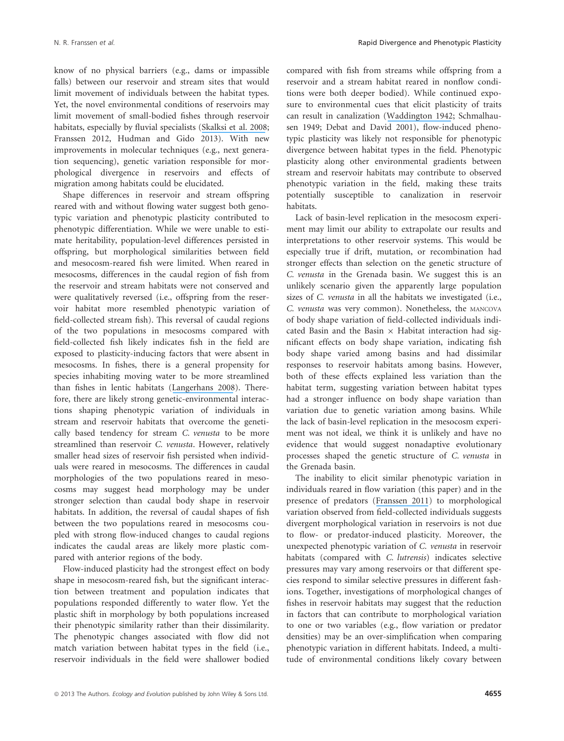know of no physical barriers (e.g., dams or impassible falls) between our reservoir and stream sites that would limit movement of individuals between the habitat types. Yet, the novel environmental conditions of reservoirs may limit movement of small-bodied fishes through reservoir habitats, especially by fluvial specialists [\(Skalksi et al. 2008](https://www.researchgate.net/publication/235642346_Genetic_Structure_of_Creek_Chub_a_Headwater_Minnow_in_an_Impounded_River_System?el=1_x_8&enrichId=rgreq-8373416deb041a3e4d86053b3aa5c099-XXX&enrichSource=Y292ZXJQYWdlOzI1OTQ1MDUyMjtBUzoxMDY0NzA0NjA4ODcwNDJAMTQwMjM5NTk0NTEzNw==); Franssen 2012, Hudman and Gido 2013). With new improvements in molecular techniques (e.g., next generation sequencing), genetic variation responsible for morphological divergence in reservoirs and effects of migration among habitats could be elucidated.

Shape differences in reservoir and stream offspring reared with and without flowing water suggest both genotypic variation and phenotypic plasticity contributed to phenotypic differentiation. While we were unable to estimate heritability, population-level differences persisted in offspring, but morphological similarities between field and mesocosm-reared fish were limited. When reared in mesocosms, differences in the caudal region of fish from the reservoir and stream habitats were not conserved and were qualitatively reversed (i.e., offspring from the reservoir habitat more resembled phenotypic variation of field-collected stream fish). This reversal of caudal regions of the two populations in mesocosms compared with field-collected fish likely indicates fish in the field are exposed to plasticity-inducing factors that were absent in mesocosms. In fishes, there is a general propensity for species inhabiting moving water to be more streamlined than fishes in lentic habitats ([Langerhans 2008](https://www.researchgate.net/publication/51216015_Predictability_of_phenotypic_differentiation_across_flow_regimes_in_fishes?el=1_x_8&enrichId=rgreq-8373416deb041a3e4d86053b3aa5c099-XXX&enrichSource=Y292ZXJQYWdlOzI1OTQ1MDUyMjtBUzoxMDY0NzA0NjA4ODcwNDJAMTQwMjM5NTk0NTEzNw==)). Therefore, there are likely strong genetic-environmental interactions shaping phenotypic variation of individuals in stream and reservoir habitats that overcome the genetically based tendency for stream C. venusta to be more streamlined than reservoir C. venusta. However, relatively smaller head sizes of reservoir fish persisted when individuals were reared in mesocosms. The differences in caudal morphologies of the two populations reared in mesocosms may suggest head morphology may be under stronger selection than caudal body shape in reservoir habitats. In addition, the reversal of caudal shapes of fish between the two populations reared in mesocosms coupled with strong flow-induced changes to caudal regions indicates the caudal areas are likely more plastic compared with anterior regions of the body.

Flow-induced plasticity had the strongest effect on body shape in mesocosm-reared fish, but the significant interaction between treatment and population indicates that populations responded differently to water flow. Yet the plastic shift in morphology by both populations increased their phenotypic similarity rather than their dissimilarity. The phenotypic changes associated with flow did not match variation between habitat types in the field (i.e., reservoir individuals in the field were shallower bodied compared with fish from streams while offspring from a reservoir and a stream habitat reared in nonflow conditions were both deeper bodied). While continued exposure to environmental cues that elicit plasticity of traits can result in canalization ([Waddington 1942](https://www.researchgate.net/publication/245603410_Canalization_of_Development_and_the_Inheritance_of_Acquired_Characters?el=1_x_8&enrichId=rgreq-8373416deb041a3e4d86053b3aa5c099-XXX&enrichSource=Y292ZXJQYWdlOzI1OTQ1MDUyMjtBUzoxMDY0NzA0NjA4ODcwNDJAMTQwMjM5NTk0NTEzNw==); Schmalhausen 1949; Debat and David 2001), flow-induced phenotypic plasticity was likely not responsible for phenotypic divergence between habitat types in the field. Phenotypic plasticity along other environmental gradients between stream and reservoir habitats may contribute to observed phenotypic variation in the field, making these traits potentially susceptible to canalization in reservoir habitats.

Lack of basin-level replication in the mesocosm experiment may limit our ability to extrapolate our results and interpretations to other reservoir systems. This would be especially true if drift, mutation, or recombination had stronger effects than selection on the genetic structure of C. venusta in the Grenada basin. We suggest this is an unlikely scenario given the apparently large population sizes of C. venusta in all the habitats we investigated (i.e., C. venusta was very common). Nonetheless, the MANCOVA of body shape variation of field-collected individuals indicated Basin and the Basin  $\times$  Habitat interaction had significant effects on body shape variation, indicating fish body shape varied among basins and had dissimilar responses to reservoir habitats among basins. However, both of these effects explained less variation than the habitat term, suggesting variation between habitat types had a stronger influence on body shape variation than variation due to genetic variation among basins. While the lack of basin-level replication in the mesocosm experiment was not ideal, we think it is unlikely and have no evidence that would suggest nonadaptive evolutionary processes shaped the genetic structure of C. venusta in the Grenada basin.

The inability to elicit similar phenotypic variation in individuals reared in flow variation (this paper) and in the presence of predators ([Franssen 2011](https://www.researchgate.net/publication/230260561_Anthropogenic_habitat_alteration_induces_rapid_morphological_divergence_in_a_native_stream_fish?el=1_x_8&enrichId=rgreq-8373416deb041a3e4d86053b3aa5c099-XXX&enrichSource=Y292ZXJQYWdlOzI1OTQ1MDUyMjtBUzoxMDY0NzA0NjA4ODcwNDJAMTQwMjM5NTk0NTEzNw==)) to morphological variation observed from field-collected individuals suggests divergent morphological variation in reservoirs is not due to flow- or predator-induced plasticity. Moreover, the unexpected phenotypic variation of C. venusta in reservoir habitats (compared with C. lutrensis) indicates selective pressures may vary among reservoirs or that different species respond to similar selective pressures in different fashions. Together, investigations of morphological changes of fishes in reservoir habitats may suggest that the reduction in factors that can contribute to morphological variation to one or two variables (e.g., flow variation or predator densities) may be an over-simplification when comparing phenotypic variation in different habitats. Indeed, a multitude of environmental conditions likely covary between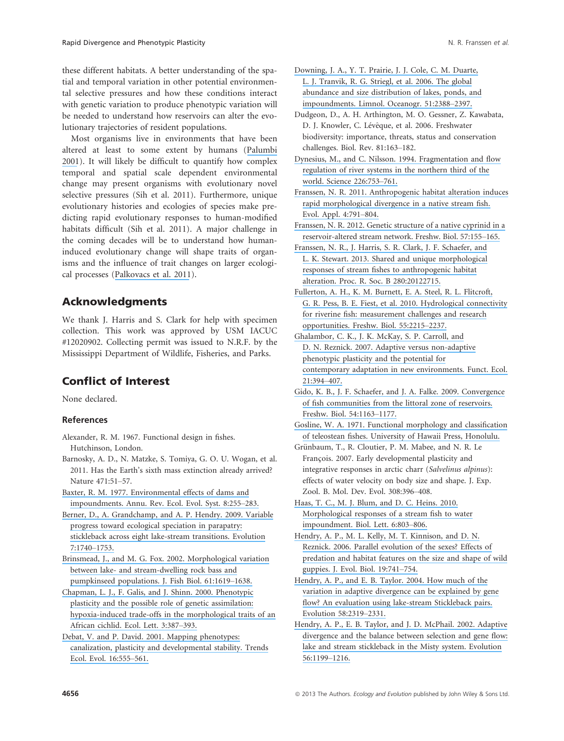these different habitats. A better understanding of the spatial and temporal variation in other potential environmental selective pressures and how these conditions interact with genetic variation to produce phenotypic variation will be needed to understand how reservoirs can alter the evolutionary trajectories of resident populations.

Most organisms live in environments that have been altered at least to some extent by humans ([Palumbi](https://www.researchgate.net/publication/11800196_Humans_as_the_World) [2001](https://www.researchgate.net/publication/11800196_Humans_as_the_World)). It will likely be difficult to quantify how complex temporal and spatial scale dependent environmental change may present organisms with evolutionary novel selective pressures (Sih et al. 2011). Furthermore, unique evolutionary histories and ecologies of species make predicting rapid evolutionary responses to human-modified habitats difficult (Sih et al. 2011). A major challenge in the coming decades will be to understand how humaninduced evolutionary change will shape traits of organisms and the influence of trait changes on larger ecological processes ([Palkovacs et al. 2011](https://www.researchgate.net/publication/224983000_Fates_beyond_traits_ecological_consequences_of_human-induced_trait_change?el=1_x_8&enrichId=rgreq-8373416deb041a3e4d86053b3aa5c099-XXX&enrichSource=Y292ZXJQYWdlOzI1OTQ1MDUyMjtBUzoxMDY0NzA0NjA4ODcwNDJAMTQwMjM5NTk0NTEzNw==)).

# Acknowledgments

We thank J. Harris and S. Clark for help with specimen collection. This work was approved by USM IACUC #12020902. Collecting permit was issued to N.R.F. by the Mississippi Department of Wildlife, Fisheries, and Parks.

# Conflict of Interest

None declared.

## References

- Alexander, R. M. 1967. Functional design in fishes. Hutchinson, London.
- Barnosky, A. D., N. Matzke, S. Tomiya, G. O. U. Wogan, et al. 2011. Has the Earth's sixth mass extinction already arrived? Nature 471:51–57.
- [Baxter, R. M. 1977. Environmental effects of dams and](https://www.researchgate.net/publication/234150363_Environmental_Effects_of_Dams_and_Impoundments?el=1_x_8&enrichId=rgreq-8373416deb041a3e4d86053b3aa5c099-XXX&enrichSource=Y292ZXJQYWdlOzI1OTQ1MDUyMjtBUzoxMDY0NzA0NjA4ODcwNDJAMTQwMjM5NTk0NTEzNw==) [impoundments. Annu. Rev. Ecol. Evol. Syst. 8:255](https://www.researchgate.net/publication/234150363_Environmental_Effects_of_Dams_and_Impoundments?el=1_x_8&enrichId=rgreq-8373416deb041a3e4d86053b3aa5c099-XXX&enrichSource=Y292ZXJQYWdlOzI1OTQ1MDUyMjtBUzoxMDY0NzA0NjA4ODcwNDJAMTQwMjM5NTk0NTEzNw==)–283.
- [Berner, D., A. Grandchamp, and A. P. Hendry. 2009. Variable](https://www.researchgate.net/publication/24026091_Variable_Progress_Toward_Ecological_Speciation_in_Parapatry_Stickleback_Across_Eight_Lake-Stream_Transitions?el=1_x_8&enrichId=rgreq-8373416deb041a3e4d86053b3aa5c099-XXX&enrichSource=Y292ZXJQYWdlOzI1OTQ1MDUyMjtBUzoxMDY0NzA0NjA4ODcwNDJAMTQwMjM5NTk0NTEzNw==) [progress toward ecological speciation in parapatry:](https://www.researchgate.net/publication/24026091_Variable_Progress_Toward_Ecological_Speciation_in_Parapatry_Stickleback_Across_Eight_Lake-Stream_Transitions?el=1_x_8&enrichId=rgreq-8373416deb041a3e4d86053b3aa5c099-XXX&enrichSource=Y292ZXJQYWdlOzI1OTQ1MDUyMjtBUzoxMDY0NzA0NjA4ODcwNDJAMTQwMjM5NTk0NTEzNw==) [stickleback across eight lake-stream transitions. Evolution](https://www.researchgate.net/publication/24026091_Variable_Progress_Toward_Ecological_Speciation_in_Parapatry_Stickleback_Across_Eight_Lake-Stream_Transitions?el=1_x_8&enrichId=rgreq-8373416deb041a3e4d86053b3aa5c099-XXX&enrichSource=Y292ZXJQYWdlOzI1OTQ1MDUyMjtBUzoxMDY0NzA0NjA4ODcwNDJAMTQwMjM5NTk0NTEzNw==) [7:1740](https://www.researchgate.net/publication/24026091_Variable_Progress_Toward_Ecological_Speciation_in_Parapatry_Stickleback_Across_Eight_Lake-Stream_Transitions?el=1_x_8&enrichId=rgreq-8373416deb041a3e4d86053b3aa5c099-XXX&enrichSource=Y292ZXJQYWdlOzI1OTQ1MDUyMjtBUzoxMDY0NzA0NjA4ODcwNDJAMTQwMjM5NTk0NTEzNw==)–1753.
- [Brinsmead, J., and M. G. Fox. 2002. Morphological variation](https://www.researchgate.net/publication/229794686_Morphological_variation_between_lake-_and_stream-dwelling_rock_bass_and_pumpkinseed_populations?el=1_x_8&enrichId=rgreq-8373416deb041a3e4d86053b3aa5c099-XXX&enrichSource=Y292ZXJQYWdlOzI1OTQ1MDUyMjtBUzoxMDY0NzA0NjA4ODcwNDJAMTQwMjM5NTk0NTEzNw==) [between lake- and stream-dwelling rock bass and](https://www.researchgate.net/publication/229794686_Morphological_variation_between_lake-_and_stream-dwelling_rock_bass_and_pumpkinseed_populations?el=1_x_8&enrichId=rgreq-8373416deb041a3e4d86053b3aa5c099-XXX&enrichSource=Y292ZXJQYWdlOzI1OTQ1MDUyMjtBUzoxMDY0NzA0NjA4ODcwNDJAMTQwMjM5NTk0NTEzNw==) [pumpkinseed populations. J. Fish Biol. 61:1619](https://www.researchgate.net/publication/229794686_Morphological_variation_between_lake-_and_stream-dwelling_rock_bass_and_pumpkinseed_populations?el=1_x_8&enrichId=rgreq-8373416deb041a3e4d86053b3aa5c099-XXX&enrichSource=Y292ZXJQYWdlOzI1OTQ1MDUyMjtBUzoxMDY0NzA0NjA4ODcwNDJAMTQwMjM5NTk0NTEzNw==)–1638.
- [Chapman, L. J., F. Galis, and J. Shinn. 2000. Phenotypic](https://www.researchgate.net/publication/229930605_Phenotypic_plasticity_and_the_possible_role_of_genetic_assimilation_Hypoxia-induced_trade-offs_in_the_morphological_traits_of_an_African_cichlid?el=1_x_8&enrichId=rgreq-8373416deb041a3e4d86053b3aa5c099-XXX&enrichSource=Y292ZXJQYWdlOzI1OTQ1MDUyMjtBUzoxMDY0NzA0NjA4ODcwNDJAMTQwMjM5NTk0NTEzNw==) [plasticity and the possible role of genetic assimilation:](https://www.researchgate.net/publication/229930605_Phenotypic_plasticity_and_the_possible_role_of_genetic_assimilation_Hypoxia-induced_trade-offs_in_the_morphological_traits_of_an_African_cichlid?el=1_x_8&enrichId=rgreq-8373416deb041a3e4d86053b3aa5c099-XXX&enrichSource=Y292ZXJQYWdlOzI1OTQ1MDUyMjtBUzoxMDY0NzA0NjA4ODcwNDJAMTQwMjM5NTk0NTEzNw==) [hypoxia-induced trade-offs in the morphological traits of an](https://www.researchgate.net/publication/229930605_Phenotypic_plasticity_and_the_possible_role_of_genetic_assimilation_Hypoxia-induced_trade-offs_in_the_morphological_traits_of_an_African_cichlid?el=1_x_8&enrichId=rgreq-8373416deb041a3e4d86053b3aa5c099-XXX&enrichSource=Y292ZXJQYWdlOzI1OTQ1MDUyMjtBUzoxMDY0NzA0NjA4ODcwNDJAMTQwMjM5NTk0NTEzNw==) [African cichlid. Ecol. Lett. 3:387](https://www.researchgate.net/publication/229930605_Phenotypic_plasticity_and_the_possible_role_of_genetic_assimilation_Hypoxia-induced_trade-offs_in_the_morphological_traits_of_an_African_cichlid?el=1_x_8&enrichId=rgreq-8373416deb041a3e4d86053b3aa5c099-XXX&enrichSource=Y292ZXJQYWdlOzI1OTQ1MDUyMjtBUzoxMDY0NzA0NjA4ODcwNDJAMTQwMjM5NTk0NTEzNw==)–393.
- [Debat, V. and P. David. 2001. Mapping phenotypes:](https://www.researchgate.net/publication/222690142_Mapping_phenotypes_Canalization_plasticity_and_developmental_stability?el=1_x_8&enrichId=rgreq-8373416deb041a3e4d86053b3aa5c099-XXX&enrichSource=Y292ZXJQYWdlOzI1OTQ1MDUyMjtBUzoxMDY0NzA0NjA4ODcwNDJAMTQwMjM5NTk0NTEzNw==) [canalization, plasticity and developmental stability. Trends](https://www.researchgate.net/publication/222690142_Mapping_phenotypes_Canalization_plasticity_and_developmental_stability?el=1_x_8&enrichId=rgreq-8373416deb041a3e4d86053b3aa5c099-XXX&enrichSource=Y292ZXJQYWdlOzI1OTQ1MDUyMjtBUzoxMDY0NzA0NjA4ODcwNDJAMTQwMjM5NTk0NTEzNw==) [Ecol. Evol. 16:555](https://www.researchgate.net/publication/222690142_Mapping_phenotypes_Canalization_plasticity_and_developmental_stability?el=1_x_8&enrichId=rgreq-8373416deb041a3e4d86053b3aa5c099-XXX&enrichSource=Y292ZXJQYWdlOzI1OTQ1MDUyMjtBUzoxMDY0NzA0NjA4ODcwNDJAMTQwMjM5NTk0NTEzNw==)–561.
- [Downing, J. A., Y. T. Prairie, J. J. Cole, C. M. Duarte,](https://www.researchgate.net/publication/235554186_The_Global_Abundance_and_Size_Distribution_of_Lakes_Ponds_and_Impoundments?el=1_x_8&enrichId=rgreq-8373416deb041a3e4d86053b3aa5c099-XXX&enrichSource=Y292ZXJQYWdlOzI1OTQ1MDUyMjtBUzoxMDY0NzA0NjA4ODcwNDJAMTQwMjM5NTk0NTEzNw==) [L. J. Tranvik, R. G. Striegl, et al. 2006. The global](https://www.researchgate.net/publication/235554186_The_Global_Abundance_and_Size_Distribution_of_Lakes_Ponds_and_Impoundments?el=1_x_8&enrichId=rgreq-8373416deb041a3e4d86053b3aa5c099-XXX&enrichSource=Y292ZXJQYWdlOzI1OTQ1MDUyMjtBUzoxMDY0NzA0NjA4ODcwNDJAMTQwMjM5NTk0NTEzNw==) [abundance and size distribution of lakes, ponds, and](https://www.researchgate.net/publication/235554186_The_Global_Abundance_and_Size_Distribution_of_Lakes_Ponds_and_Impoundments?el=1_x_8&enrichId=rgreq-8373416deb041a3e4d86053b3aa5c099-XXX&enrichSource=Y292ZXJQYWdlOzI1OTQ1MDUyMjtBUzoxMDY0NzA0NjA4ODcwNDJAMTQwMjM5NTk0NTEzNw==) [impoundments. Limnol. Oceanogr. 51:2388](https://www.researchgate.net/publication/235554186_The_Global_Abundance_and_Size_Distribution_of_Lakes_Ponds_and_Impoundments?el=1_x_8&enrichId=rgreq-8373416deb041a3e4d86053b3aa5c099-XXX&enrichSource=Y292ZXJQYWdlOzI1OTQ1MDUyMjtBUzoxMDY0NzA0NjA4ODcwNDJAMTQwMjM5NTk0NTEzNw==)–2397.
- Dudgeon, D., A. H. Arthington, M. O. Gessner, Z. Kawabata, D. J. Knowler, C. Lévêque, et al. 2006. Freshwater biodiversity: importance, threats, status and conservation challenges. Biol. Rev. 81:163–182.
- [Dynesius, M., and C. Nilsson. 1994. Fragmentation and flow](https://www.researchgate.net/publication/235005664_Fragmentation_and_Flow_Regulation_of_River_Systems_in_the_Northern_Third_of_the_World?el=1_x_8&enrichId=rgreq-8373416deb041a3e4d86053b3aa5c099-XXX&enrichSource=Y292ZXJQYWdlOzI1OTQ1MDUyMjtBUzoxMDY0NzA0NjA4ODcwNDJAMTQwMjM5NTk0NTEzNw==) [regulation of river systems in the northern third of the](https://www.researchgate.net/publication/235005664_Fragmentation_and_Flow_Regulation_of_River_Systems_in_the_Northern_Third_of_the_World?el=1_x_8&enrichId=rgreq-8373416deb041a3e4d86053b3aa5c099-XXX&enrichSource=Y292ZXJQYWdlOzI1OTQ1MDUyMjtBUzoxMDY0NzA0NjA4ODcwNDJAMTQwMjM5NTk0NTEzNw==) [world. Science 226:753](https://www.researchgate.net/publication/235005664_Fragmentation_and_Flow_Regulation_of_River_Systems_in_the_Northern_Third_of_the_World?el=1_x_8&enrichId=rgreq-8373416deb041a3e4d86053b3aa5c099-XXX&enrichSource=Y292ZXJQYWdlOzI1OTQ1MDUyMjtBUzoxMDY0NzA0NjA4ODcwNDJAMTQwMjM5NTk0NTEzNw==)–761.
- [Franssen, N. R. 2011. Anthropogenic habitat alteration induces](https://www.researchgate.net/publication/230260561_Anthropogenic_habitat_alteration_induces_rapid_morphological_divergence_in_a_native_stream_fish?el=1_x_8&enrichId=rgreq-8373416deb041a3e4d86053b3aa5c099-XXX&enrichSource=Y292ZXJQYWdlOzI1OTQ1MDUyMjtBUzoxMDY0NzA0NjA4ODcwNDJAMTQwMjM5NTk0NTEzNw==) [rapid morphological divergence in a native stream fish.](https://www.researchgate.net/publication/230260561_Anthropogenic_habitat_alteration_induces_rapid_morphological_divergence_in_a_native_stream_fish?el=1_x_8&enrichId=rgreq-8373416deb041a3e4d86053b3aa5c099-XXX&enrichSource=Y292ZXJQYWdlOzI1OTQ1MDUyMjtBUzoxMDY0NzA0NjA4ODcwNDJAMTQwMjM5NTk0NTEzNw==) [Evol. Appl. 4:791](https://www.researchgate.net/publication/230260561_Anthropogenic_habitat_alteration_induces_rapid_morphological_divergence_in_a_native_stream_fish?el=1_x_8&enrichId=rgreq-8373416deb041a3e4d86053b3aa5c099-XXX&enrichSource=Y292ZXJQYWdlOzI1OTQ1MDUyMjtBUzoxMDY0NzA0NjA4ODcwNDJAMTQwMjM5NTk0NTEzNw==)–804.
- [Franssen, N. R. 2012. Genetic structure of a native cyprinid in a](https://www.researchgate.net/publication/263198204_Genetic_structure_of_a_native_cyprinid_in_a_reservoir-altered_stream_network?el=1_x_8&enrichId=rgreq-8373416deb041a3e4d86053b3aa5c099-XXX&enrichSource=Y292ZXJQYWdlOzI1OTQ1MDUyMjtBUzoxMDY0NzA0NjA4ODcwNDJAMTQwMjM5NTk0NTEzNw==) [reservoir-altered stream network. Freshw. Biol. 57:155](https://www.researchgate.net/publication/263198204_Genetic_structure_of_a_native_cyprinid_in_a_reservoir-altered_stream_network?el=1_x_8&enrichId=rgreq-8373416deb041a3e4d86053b3aa5c099-XXX&enrichSource=Y292ZXJQYWdlOzI1OTQ1MDUyMjtBUzoxMDY0NzA0NjA4ODcwNDJAMTQwMjM5NTk0NTEzNw==)–165.
- [Franssen, N. R., J. Harris, S. R. Clark, J. F. Schaefer, and](https://www.researchgate.net/publication/233909113_Shared_and_unique_morphological_responses_of_stream_fishes_to_anthropogenic_habitat_alteration?el=1_x_8&enrichId=rgreq-8373416deb041a3e4d86053b3aa5c099-XXX&enrichSource=Y292ZXJQYWdlOzI1OTQ1MDUyMjtBUzoxMDY0NzA0NjA4ODcwNDJAMTQwMjM5NTk0NTEzNw==) [L. K. Stewart. 2013. Shared and unique morphological](https://www.researchgate.net/publication/233909113_Shared_and_unique_morphological_responses_of_stream_fishes_to_anthropogenic_habitat_alteration?el=1_x_8&enrichId=rgreq-8373416deb041a3e4d86053b3aa5c099-XXX&enrichSource=Y292ZXJQYWdlOzI1OTQ1MDUyMjtBUzoxMDY0NzA0NjA4ODcwNDJAMTQwMjM5NTk0NTEzNw==) [responses of stream fishes to anthropogenic habitat](https://www.researchgate.net/publication/233909113_Shared_and_unique_morphological_responses_of_stream_fishes_to_anthropogenic_habitat_alteration?el=1_x_8&enrichId=rgreq-8373416deb041a3e4d86053b3aa5c099-XXX&enrichSource=Y292ZXJQYWdlOzI1OTQ1MDUyMjtBUzoxMDY0NzA0NjA4ODcwNDJAMTQwMjM5NTk0NTEzNw==) [alteration. Proc. R. Soc. B 280:20122715.](https://www.researchgate.net/publication/233909113_Shared_and_unique_morphological_responses_of_stream_fishes_to_anthropogenic_habitat_alteration?el=1_x_8&enrichId=rgreq-8373416deb041a3e4d86053b3aa5c099-XXX&enrichSource=Y292ZXJQYWdlOzI1OTQ1MDUyMjtBUzoxMDY0NzA0NjA4ODcwNDJAMTQwMjM5NTk0NTEzNw==)
- [Fullerton, A. H., K. M. Burnett, E. A. Steel, R. L. Flitcroft,](https://www.researchgate.net/publication/230736989_Hydrological_connectivity_for_riverine_fish_Measurement_challenges_and_research_opportunities?el=1_x_8&enrichId=rgreq-8373416deb041a3e4d86053b3aa5c099-XXX&enrichSource=Y292ZXJQYWdlOzI1OTQ1MDUyMjtBUzoxMDY0NzA0NjA4ODcwNDJAMTQwMjM5NTk0NTEzNw==) [G. R. Pess, B. E. Fiest, et al. 2010. Hydrological connectivity](https://www.researchgate.net/publication/230736989_Hydrological_connectivity_for_riverine_fish_Measurement_challenges_and_research_opportunities?el=1_x_8&enrichId=rgreq-8373416deb041a3e4d86053b3aa5c099-XXX&enrichSource=Y292ZXJQYWdlOzI1OTQ1MDUyMjtBUzoxMDY0NzA0NjA4ODcwNDJAMTQwMjM5NTk0NTEzNw==) [for riverine fish: measurement challenges and research](https://www.researchgate.net/publication/230736989_Hydrological_connectivity_for_riverine_fish_Measurement_challenges_and_research_opportunities?el=1_x_8&enrichId=rgreq-8373416deb041a3e4d86053b3aa5c099-XXX&enrichSource=Y292ZXJQYWdlOzI1OTQ1MDUyMjtBUzoxMDY0NzA0NjA4ODcwNDJAMTQwMjM5NTk0NTEzNw==) [opportunities. Freshw. Biol. 55:2215](https://www.researchgate.net/publication/230736989_Hydrological_connectivity_for_riverine_fish_Measurement_challenges_and_research_opportunities?el=1_x_8&enrichId=rgreq-8373416deb041a3e4d86053b3aa5c099-XXX&enrichSource=Y292ZXJQYWdlOzI1OTQ1MDUyMjtBUzoxMDY0NzA0NjA4ODcwNDJAMTQwMjM5NTk0NTEzNw==)–2237.
- [Ghalambor, C. K., J. K. McKay, S. P. Carroll, and](https://www.researchgate.net/publication/216769197_Adaptive_versus_non-adaptive_phenotypic_plasticity_and_the_potential_for_contemporary_adaptation_in_new_environments?el=1_x_8&enrichId=rgreq-8373416deb041a3e4d86053b3aa5c099-XXX&enrichSource=Y292ZXJQYWdlOzI1OTQ1MDUyMjtBUzoxMDY0NzA0NjA4ODcwNDJAMTQwMjM5NTk0NTEzNw==) [D. N. Reznick. 2007. Adaptive versus non-adaptive](https://www.researchgate.net/publication/216769197_Adaptive_versus_non-adaptive_phenotypic_plasticity_and_the_potential_for_contemporary_adaptation_in_new_environments?el=1_x_8&enrichId=rgreq-8373416deb041a3e4d86053b3aa5c099-XXX&enrichSource=Y292ZXJQYWdlOzI1OTQ1MDUyMjtBUzoxMDY0NzA0NjA4ODcwNDJAMTQwMjM5NTk0NTEzNw==) [phenotypic plasticity and the potential for](https://www.researchgate.net/publication/216769197_Adaptive_versus_non-adaptive_phenotypic_plasticity_and_the_potential_for_contemporary_adaptation_in_new_environments?el=1_x_8&enrichId=rgreq-8373416deb041a3e4d86053b3aa5c099-XXX&enrichSource=Y292ZXJQYWdlOzI1OTQ1MDUyMjtBUzoxMDY0NzA0NjA4ODcwNDJAMTQwMjM5NTk0NTEzNw==) [contemporary adaptation in new environments. Funct. Ecol.](https://www.researchgate.net/publication/216769197_Adaptive_versus_non-adaptive_phenotypic_plasticity_and_the_potential_for_contemporary_adaptation_in_new_environments?el=1_x_8&enrichId=rgreq-8373416deb041a3e4d86053b3aa5c099-XXX&enrichSource=Y292ZXJQYWdlOzI1OTQ1MDUyMjtBUzoxMDY0NzA0NjA4ODcwNDJAMTQwMjM5NTk0NTEzNw==) [21:394](https://www.researchgate.net/publication/216769197_Adaptive_versus_non-adaptive_phenotypic_plasticity_and_the_potential_for_contemporary_adaptation_in_new_environments?el=1_x_8&enrichId=rgreq-8373416deb041a3e4d86053b3aa5c099-XXX&enrichSource=Y292ZXJQYWdlOzI1OTQ1MDUyMjtBUzoxMDY0NzA0NjA4ODcwNDJAMTQwMjM5NTk0NTEzNw==)–407.
- [Gido, K. B., J. F. Schaefer, and J. A. Falke. 2009. Convergence](https://www.researchgate.net/publication/227837312_Convergence_of_fish_communities_from_the_littoral_zone_of_reservoirs?el=1_x_8&enrichId=rgreq-8373416deb041a3e4d86053b3aa5c099-XXX&enrichSource=Y292ZXJQYWdlOzI1OTQ1MDUyMjtBUzoxMDY0NzA0NjA4ODcwNDJAMTQwMjM5NTk0NTEzNw==) [of fish communities from the littoral zone of reservoirs.](https://www.researchgate.net/publication/227837312_Convergence_of_fish_communities_from_the_littoral_zone_of_reservoirs?el=1_x_8&enrichId=rgreq-8373416deb041a3e4d86053b3aa5c099-XXX&enrichSource=Y292ZXJQYWdlOzI1OTQ1MDUyMjtBUzoxMDY0NzA0NjA4ODcwNDJAMTQwMjM5NTk0NTEzNw==) [Freshw. Biol. 54:1163](https://www.researchgate.net/publication/227837312_Convergence_of_fish_communities_from_the_littoral_zone_of_reservoirs?el=1_x_8&enrichId=rgreq-8373416deb041a3e4d86053b3aa5c099-XXX&enrichSource=Y292ZXJQYWdlOzI1OTQ1MDUyMjtBUzoxMDY0NzA0NjA4ODcwNDJAMTQwMjM5NTk0NTEzNw==)–1177.
- [Gosline, W. A. 1971. Functional morphology and classification](https://www.researchgate.net/publication/246269061_Functional_Morphology_and_Classification_of_Teleostean_Fishes?el=1_x_8&enrichId=rgreq-8373416deb041a3e4d86053b3aa5c099-XXX&enrichSource=Y292ZXJQYWdlOzI1OTQ1MDUyMjtBUzoxMDY0NzA0NjA4ODcwNDJAMTQwMjM5NTk0NTEzNw==) [of teleostean fishes. University of Hawaii Press, Honolulu.](https://www.researchgate.net/publication/246269061_Functional_Morphology_and_Classification_of_Teleostean_Fishes?el=1_x_8&enrichId=rgreq-8373416deb041a3e4d86053b3aa5c099-XXX&enrichSource=Y292ZXJQYWdlOzI1OTQ1MDUyMjtBUzoxMDY0NzA0NjA4ODcwNDJAMTQwMjM5NTk0NTEzNw==)
- Grünbaum, T., R. Cloutier, P. M. Mabee, and N. R. Le Francois. 2007. Early developmental plasticity and integrative responses in arctic charr (Salvelinus alpinus): effects of water velocity on body size and shape. J. Exp. Zool. B. Mol. Dev. Evol. 308:396–408.
- [Haas, T. C., M. J. Blum, and D. C. Heins. 2010.](https://www.researchgate.net/publication/44660214_Morphological_response_of_a_stream_fish_to_water_impoundment?el=1_x_8&enrichId=rgreq-8373416deb041a3e4d86053b3aa5c099-XXX&enrichSource=Y292ZXJQYWdlOzI1OTQ1MDUyMjtBUzoxMDY0NzA0NjA4ODcwNDJAMTQwMjM5NTk0NTEzNw==) [Morphological responses of a stream fish to water](https://www.researchgate.net/publication/44660214_Morphological_response_of_a_stream_fish_to_water_impoundment?el=1_x_8&enrichId=rgreq-8373416deb041a3e4d86053b3aa5c099-XXX&enrichSource=Y292ZXJQYWdlOzI1OTQ1MDUyMjtBUzoxMDY0NzA0NjA4ODcwNDJAMTQwMjM5NTk0NTEzNw==) [impoundment. Biol. Lett. 6:803](https://www.researchgate.net/publication/44660214_Morphological_response_of_a_stream_fish_to_water_impoundment?el=1_x_8&enrichId=rgreq-8373416deb041a3e4d86053b3aa5c099-XXX&enrichSource=Y292ZXJQYWdlOzI1OTQ1MDUyMjtBUzoxMDY0NzA0NjA4ODcwNDJAMTQwMjM5NTk0NTEzNw==)–806.
- [Hendry, A. P., M. L. Kelly, M. T. Kinnison, and D. N.](https://www.researchgate.net/publication/7105524_Parallel_evolution_of_the_sexes_Effects_of_predation_and_habitat_features_on_the_size_and_shape_of_guppies?el=1_x_8&enrichId=rgreq-8373416deb041a3e4d86053b3aa5c099-XXX&enrichSource=Y292ZXJQYWdlOzI1OTQ1MDUyMjtBUzoxMDY0NzA0NjA4ODcwNDJAMTQwMjM5NTk0NTEzNw==) [Reznick. 2006. Parallel evolution of the sexes? Effects of](https://www.researchgate.net/publication/7105524_Parallel_evolution_of_the_sexes_Effects_of_predation_and_habitat_features_on_the_size_and_shape_of_guppies?el=1_x_8&enrichId=rgreq-8373416deb041a3e4d86053b3aa5c099-XXX&enrichSource=Y292ZXJQYWdlOzI1OTQ1MDUyMjtBUzoxMDY0NzA0NjA4ODcwNDJAMTQwMjM5NTk0NTEzNw==) [predation and habitat features on the size and shape of wild](https://www.researchgate.net/publication/7105524_Parallel_evolution_of_the_sexes_Effects_of_predation_and_habitat_features_on_the_size_and_shape_of_guppies?el=1_x_8&enrichId=rgreq-8373416deb041a3e4d86053b3aa5c099-XXX&enrichSource=Y292ZXJQYWdlOzI1OTQ1MDUyMjtBUzoxMDY0NzA0NjA4ODcwNDJAMTQwMjM5NTk0NTEzNw==) [guppies. J. Evol. Biol. 19:741](https://www.researchgate.net/publication/7105524_Parallel_evolution_of_the_sexes_Effects_of_predation_and_habitat_features_on_the_size_and_shape_of_guppies?el=1_x_8&enrichId=rgreq-8373416deb041a3e4d86053b3aa5c099-XXX&enrichSource=Y292ZXJQYWdlOzI1OTQ1MDUyMjtBUzoxMDY0NzA0NjA4ODcwNDJAMTQwMjM5NTk0NTEzNw==)–754.
- [Hendry, A. P., and E. B. Taylor. 2004. How much of the](https://www.researchgate.net/publication/8164073_How_much_of_the_variation_in_adaptive_divergence_can_be_explained_by_gene_flow_-_An_evaluation_using_lake-stream_stickleback_pairs?el=1_x_8&enrichId=rgreq-8373416deb041a3e4d86053b3aa5c099-XXX&enrichSource=Y292ZXJQYWdlOzI1OTQ1MDUyMjtBUzoxMDY0NzA0NjA4ODcwNDJAMTQwMjM5NTk0NTEzNw==) [variation in adaptive divergence can be explained by gene](https://www.researchgate.net/publication/8164073_How_much_of_the_variation_in_adaptive_divergence_can_be_explained_by_gene_flow_-_An_evaluation_using_lake-stream_stickleback_pairs?el=1_x_8&enrichId=rgreq-8373416deb041a3e4d86053b3aa5c099-XXX&enrichSource=Y292ZXJQYWdlOzI1OTQ1MDUyMjtBUzoxMDY0NzA0NjA4ODcwNDJAMTQwMjM5NTk0NTEzNw==) [flow? An evaluation using lake-stream Stickleback pairs.](https://www.researchgate.net/publication/8164073_How_much_of_the_variation_in_adaptive_divergence_can_be_explained_by_gene_flow_-_An_evaluation_using_lake-stream_stickleback_pairs?el=1_x_8&enrichId=rgreq-8373416deb041a3e4d86053b3aa5c099-XXX&enrichSource=Y292ZXJQYWdlOzI1OTQ1MDUyMjtBUzoxMDY0NzA0NjA4ODcwNDJAMTQwMjM5NTk0NTEzNw==) [Evolution 58:2319](https://www.researchgate.net/publication/8164073_How_much_of_the_variation_in_adaptive_divergence_can_be_explained_by_gene_flow_-_An_evaluation_using_lake-stream_stickleback_pairs?el=1_x_8&enrichId=rgreq-8373416deb041a3e4d86053b3aa5c099-XXX&enrichSource=Y292ZXJQYWdlOzI1OTQ1MDUyMjtBUzoxMDY0NzA0NjA4ODcwNDJAMTQwMjM5NTk0NTEzNw==)–2331.
- [Hendry, A. P., E. B. Taylor, and J. D. McPhail. 2002. Adaptive](https://www.researchgate.net/publication/281043291_Adaptive_divergence_and_the_balance_between_selection_and_gene_flow_lake_and_stream_stickleback_in_the_Misty_system?el=1_x_8&enrichId=rgreq-8373416deb041a3e4d86053b3aa5c099-XXX&enrichSource=Y292ZXJQYWdlOzI1OTQ1MDUyMjtBUzoxMDY0NzA0NjA4ODcwNDJAMTQwMjM5NTk0NTEzNw==) [divergence and the balance between selection and gene flow:](https://www.researchgate.net/publication/281043291_Adaptive_divergence_and_the_balance_between_selection_and_gene_flow_lake_and_stream_stickleback_in_the_Misty_system?el=1_x_8&enrichId=rgreq-8373416deb041a3e4d86053b3aa5c099-XXX&enrichSource=Y292ZXJQYWdlOzI1OTQ1MDUyMjtBUzoxMDY0NzA0NjA4ODcwNDJAMTQwMjM5NTk0NTEzNw==) [lake and stream stickleback in the Misty system. Evolution](https://www.researchgate.net/publication/281043291_Adaptive_divergence_and_the_balance_between_selection_and_gene_flow_lake_and_stream_stickleback_in_the_Misty_system?el=1_x_8&enrichId=rgreq-8373416deb041a3e4d86053b3aa5c099-XXX&enrichSource=Y292ZXJQYWdlOzI1OTQ1MDUyMjtBUzoxMDY0NzA0NjA4ODcwNDJAMTQwMjM5NTk0NTEzNw==) [56:1199](https://www.researchgate.net/publication/281043291_Adaptive_divergence_and_the_balance_between_selection_and_gene_flow_lake_and_stream_stickleback_in_the_Misty_system?el=1_x_8&enrichId=rgreq-8373416deb041a3e4d86053b3aa5c099-XXX&enrichSource=Y292ZXJQYWdlOzI1OTQ1MDUyMjtBUzoxMDY0NzA0NjA4ODcwNDJAMTQwMjM5NTk0NTEzNw==)–1216.